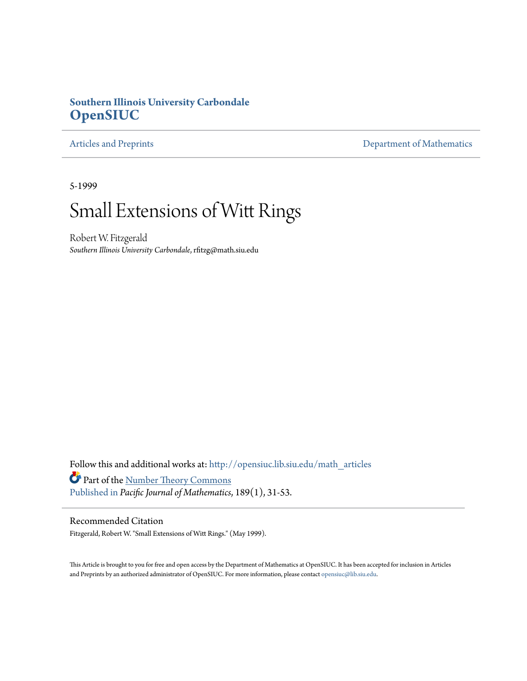# **Southern Illinois University Carbondale [OpenSIUC](http://opensiuc.lib.siu.edu?utm_source=opensiuc.lib.siu.edu%2Fmath_articles%2F42&utm_medium=PDF&utm_campaign=PDFCoverPages)**

[Articles and Preprints](http://opensiuc.lib.siu.edu/math_articles?utm_source=opensiuc.lib.siu.edu%2Fmath_articles%2F42&utm_medium=PDF&utm_campaign=PDFCoverPages) **[Department of Mathematics](http://opensiuc.lib.siu.edu/math?utm_source=opensiuc.lib.siu.edu%2Fmath_articles%2F42&utm_medium=PDF&utm_campaign=PDFCoverPages)** 

5-1999

# Small Extensions of Witt Rings

Robert W. Fitzgerald *Southern Illinois University Carbondale*, rfitzg@math.siu.edu

Follow this and additional works at: [http://opensiuc.lib.siu.edu/math\\_articles](http://opensiuc.lib.siu.edu/math_articles?utm_source=opensiuc.lib.siu.edu%2Fmath_articles%2F42&utm_medium=PDF&utm_campaign=PDFCoverPages) Part of the [Number Theory Commons](http://network.bepress.com/hgg/discipline/183?utm_source=opensiuc.lib.siu.edu%2Fmath_articles%2F42&utm_medium=PDF&utm_campaign=PDFCoverPages) [Published in](http://pjm.math.berkeley.edu/pjm/1999/189-1/p03.xhtml) *Pacific Journal of Mathematics*, 189(1), 31-53.

## Recommended Citation

Fitzgerald, Robert W. "Small Extensions of Witt Rings." (May 1999).

This Article is brought to you for free and open access by the Department of Mathematics at OpenSIUC. It has been accepted for inclusion in Articles and Preprints by an authorized administrator of OpenSIUC. For more information, please contact [opensiuc@lib.siu.edu](mailto:opensiuc@lib.siu.edu).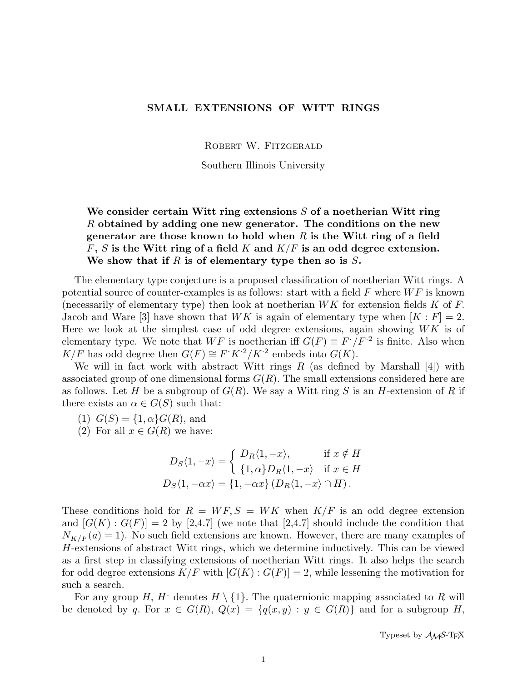### SMALL EXTENSIONS OF WITT RINGS

ROBERT W. FITZGERALD

Southern Illinois University

# We consider certain Witt ring extensions  $S$  of a noetherian Witt ring R obtained by adding one new generator. The conditions on the new generator are those known to hold when  $R$  is the Witt ring of a field  $F, S$  is the Witt ring of a field K and  $K/F$  is an odd degree extension. We show that if  $R$  is of elementary type then so is  $S$ .

The elementary type conjecture is a proposed classification of noetherian Witt rings. A potential source of counter-examples is as follows: start with a field  $F$  where  $WF$  is known (necessarily of elementary type) then look at noetherian  $WK$  for extension fields K of F. Jacob and Ware [3] have shown that  $WK$  is again of elementary type when  $[K : F] = 2$ . Here we look at the simplest case of odd degree extensions, again showing  $WK$  is of elementary type. We note that  $WF$  is noetherian iff  $G(F) \equiv F^*/F^2$  is finite. Also when  $K/F$  has odd degree then  $G(F) \cong F^*K^2/K^2$  embeds into  $G(K)$ .

We will in fact work with abstract Witt rings  $R$  (as defined by Marshall [4]) with associated group of one dimensional forms  $G(R)$ . The small extensions considered here are as follows. Let H be a subgroup of  $G(R)$ . We say a Witt ring S is an H-extension of R if there exists an  $\alpha \in G(S)$  such that:

- (1)  $G(S) = \{1, \alpha\} G(R)$ , and
- (2) For all  $x \in G(R)$  we have:

$$
D_S\langle 1, -x \rangle = \begin{cases} D_R\langle 1, -x \rangle, & \text{if } x \notin H \\ \{1, \alpha\} D_R\langle 1, -x \rangle & \text{if } x \in H \end{cases}
$$
  

$$
D_S\langle 1, -\alpha x \rangle = \{1, -\alpha x\} (D_R\langle 1, -x \rangle \cap H).
$$

These conditions hold for  $R = WF, S = WK$  when  $K/F$  is an odd degree extension and  $[G(K):G(F)] = 2$  by  $[2,4.7]$  (we note that  $[2,4.7]$  should include the condition that  $N_{K/F}(a) = 1$ ). No such field extensions are known. However, there are many examples of H-extensions of abstract Witt rings, which we determine inductively. This can be viewed as a first step in classifying extensions of noetherian Witt rings. It also helps the search for odd degree extensions  $K/F$  with  $[G(K):G(F)]=2$ , while lessening the motivation for such a search.

For any group H, H<sup> $\cdot$ </sup> denotes  $H \setminus \{1\}$ . The quaternionic mapping associated to R will be denoted by q. For  $x \in G(R)$ ,  $Q(x) = \{q(x, y) : y \in G(R)\}\$ and for a subgroup H,

Typeset by  $A_{\mathcal{M}}S$ -T<sub>F</sub>X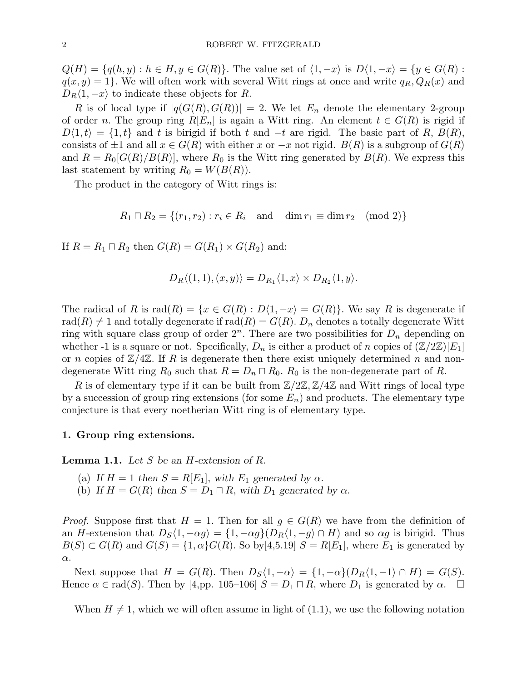$Q(H) = \{q(h, y) : h \in H, y \in G(R)\}.$  The value set of  $\langle 1, -x \rangle$  is  $D\langle 1, -x \rangle = \{y \in G(R):$  $q(x, y) = 1$ . We will often work with several Witt rings at once and write  $q_R, Q_R(x)$  and  $D_R\langle 1, -x \rangle$  to indicate these objects for R.

R is of local type if  $|q(G(R), G(R))| = 2$ . We let  $E_n$  denote the elementary 2-group of order n. The group ring  $R[E_n]$  is again a Witt ring. An element  $t \in G(R)$  is rigid if  $D\langle 1,t\rangle = \{1,t\}$  and t is birigid if both t and  $-t$  are rigid. The basic part of R,  $B(R)$ , consists of  $\pm 1$  and all  $x \in G(R)$  with either x or  $-x$  not rigid.  $B(R)$  is a subgroup of  $G(R)$ and  $R = R_0[G(R)/B(R)]$ , where  $R_0$  is the Witt ring generated by  $B(R)$ . We express this last statement by writing  $R_0 = W(B(R)).$ 

The product in the category of Witt rings is:

$$
R_1 \sqcap R_2 = \{(r_1, r_2) : r_i \in R_i \text{ and } \dim r_1 \equiv \dim r_2 \pmod{2}\}
$$

If  $R = R_1 \sqcap R_2$  then  $G(R) = G(R_1) \times G(R_2)$  and:

$$
D_R \langle (1,1), (x,y) \rangle = D_{R_1} \langle 1, x \rangle \times D_{R_2} \langle 1, y \rangle.
$$

The radical of R is  $rad(R) = \{x \in G(R) : D(1, -x) = G(R)\}\.$  We say R is degenerate if rad(R)  $\neq$  1 and totally degenerate if rad(R) =  $G(R)$ .  $D_n$  denotes a totally degenerate Witt ring with square class group of order  $2^n$ . There are two possibilities for  $D_n$  depending on whether -1 is a square or not. Specifically,  $D_n$  is either a product of n copies of  $(\mathbb{Z}/2\mathbb{Z})[E_1]$ or n copies of  $\mathbb{Z}/4\mathbb{Z}$ . If R is degenerate then there exist uniquely determined n and nondegenerate Witt ring  $R_0$  such that  $R = D_n \sqcap R_0$ .  $R_0$  is the non-degenerate part of R.

R is of elementary type if it can be built from  $\mathbb{Z}/2\mathbb{Z}, \mathbb{Z}/4\mathbb{Z}$  and Witt rings of local type by a succession of group ring extensions (for some  $E_n$ ) and products. The elementary type conjecture is that every noetherian Witt ring is of elementary type.

#### 1. Group ring extensions.

**Lemma 1.1.** Let S be an H-extension of R.

- (a) If  $H = 1$  then  $S = R[E_1]$ , with  $E_1$  generated by  $\alpha$ .
- (b) If  $H = G(R)$  then  $S = D_1 \sqcap R$ , with  $D_1$  generated by  $\alpha$ .

*Proof.* Suppose first that  $H = 1$ . Then for all  $q \in G(R)$  we have from the definition of an H-extension that  $D_S\langle 1, -\alpha g \rangle = \{1, -\alpha g\} (D_R\langle 1, -g \rangle \cap H)$  and so  $\alpha g$  is birigid. Thus  $B(S) \subset G(R)$  and  $G(S) = \{1, \alpha\}G(R)$ . So by [4,5.19]  $S = R[E_1]$ , where  $E_1$  is generated by  $\alpha$ .

Next suppose that  $H = G(R)$ . Then  $D_S\langle 1, -\alpha \rangle = \{1, -\alpha\} \langle D_R\langle 1, -1 \rangle \cap H \rangle = G(S)$ . Hence  $\alpha \in \text{rad}(S)$ . Then by [4,pp. 105–106]  $S = D_1 \cap R$ , where  $D_1$  is generated by  $\alpha$ .  $\Box$ 

When  $H \neq 1$ , which we will often assume in light of (1.1), we use the following notation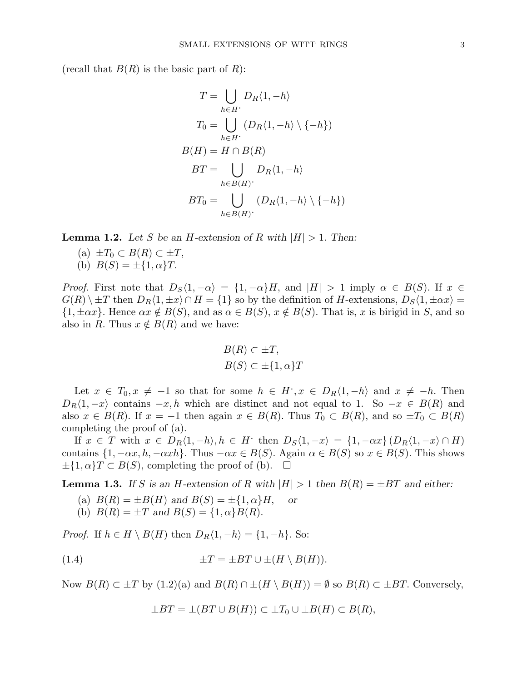(recall that  $B(R)$  is the basic part of R):

$$
T = \bigcup_{h \in H} D_R \langle 1, -h \rangle
$$
  
\n
$$
T_0 = \bigcup_{h \in H} (D_R \langle 1, -h \rangle \setminus \{-h\})
$$
  
\n
$$
B(H) = H \cap B(R)
$$
  
\n
$$
BT = \bigcup_{h \in B(H)} D_R \langle 1, -h \rangle
$$
  
\n
$$
BT_0 = \bigcup_{h \in B(H)} (D_R \langle 1, -h \rangle \setminus \{-h\})
$$

**Lemma 1.2.** Let S be an H-extension of R with  $|H| > 1$ . Then:

- (a)  $\pm T_0 \subset B(R) \subset \pm T$ ,
- (b)  $B(S) = \pm \{1, \alpha\}T$ .

*Proof.* First note that  $D_S\langle 1, -\alpha \rangle = \{1, -\alpha\}H$ , and  $|H| > 1$  imply  $\alpha \in B(S)$ . If  $x \in$  $G(R) \setminus \pm T$  then  $D_R\langle 1, \pm x \rangle \cap H = \{1\}$  so by the definition of H-extensions,  $D_S\langle 1, \pm \alpha x \rangle =$  $\{1, \pm \alpha x\}$ . Hence  $\alpha x \notin B(S)$ , and as  $\alpha \in B(S)$ ,  $x \notin B(S)$ . That is, x is birigid in S, and so also in R. Thus  $x \notin B(R)$  and we have:

$$
B(R) \subset \pm T,
$$
  

$$
B(S) \subset \pm \{1, \alpha\}T
$$

Let  $x \in T_0, x \neq -1$  so that for some  $h \in H$ ,  $x \in D_R\langle 1, -h \rangle$  and  $x \neq -h$ . Then  $D_R\langle 1, -x \rangle$  contains  $-x, h$  which are distinct and not equal to 1. So  $-x \in B(R)$  and also  $x \in B(R)$ . If  $x = -1$  then again  $x \in B(R)$ . Thus  $T_0 \subset B(R)$ , and so  $\pm T_0 \subset B(R)$ completing the proof of (a).

If  $x \in T$  with  $x \in D_R\langle 1, -h \rangle, h \in H$  then  $D_S\langle 1, -x \rangle = \{1, -\alpha x\} (D_R\langle 1, -x \rangle \cap H)$ contains  $\{1, -\alpha x, h, -\alpha xh\}$ . Thus  $-\alpha x \in B(S)$ . Again  $\alpha \in B(S)$  so  $x \in B(S)$ . This shows  $\pm \{1, \alpha\}$   $\subset B(S)$ , completing the proof of (b).  $\Box$ 

**Lemma 1.3.** If S is an H-extension of R with  $|H| > 1$  then  $B(R) = \pm BT$  and either:

- (a)  $B(R) = \pm B(H)$  and  $B(S) = \pm \{1, \alpha\}H$ , or
- (b)  $B(R) = \pm T$  and  $B(S) = \{1, \alpha\}B(R)$ .

*Proof.* If  $h \in H \setminus B(H)$  then  $D_R\langle 1, -h \rangle = \{1, -h\}$ . So:

(1.4) 
$$
\pm T = \pm BT \cup \pm (H \setminus B(H)).
$$

Now  $B(R) \subset \pm T$  by  $(1.2)(a)$  and  $B(R) \cap \pm (H \setminus B(H)) = \emptyset$  so  $B(R) \subset \pm BT$ . Conversely,

$$
\pm BT = \pm (BT \cup B(H)) \subset \pm T_0 \cup \pm B(H) \subset B(R),
$$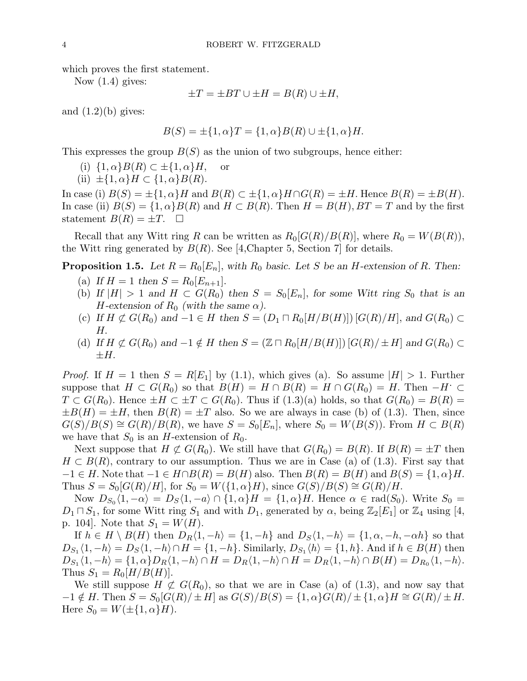which proves the first statement.

Now (1.4) gives:

$$
\pm T = \pm BT \cup \pm H = B(R) \cup \pm H,
$$

and  $(1.2)(b)$  gives:

$$
B(S) = \pm \{1, \alpha\}T = \{1, \alpha\}B(R) \cup \pm \{1, \alpha\}H.
$$

This expresses the group  $B(S)$  as the union of two subgroups, hence either:

- (i)  $\{1,\alpha\}B(R) \subset \pm \{1,\alpha\}H$ , or
- (ii)  $\pm \{1, \alpha\}H \subset \{1, \alpha\}B(R).$

In case (i)  $B(S) = \pm \{1, \alpha\}H$  and  $B(R) \subset \pm \{1, \alpha\}H \cap G(R) = \pm H$ . Hence  $B(R) = \pm B(H)$ . In case (ii)  $B(S) = \{1, \alpha\} B(R)$  and  $H \subset B(R)$ . Then  $H = B(H)$ ,  $BT = T$  and by the first statement  $B(R) = \pm T$ .  $\Box$ 

Recall that any Witt ring R can be written as  $R_0[G(R)/B(R)]$ , where  $R_0 = W(B(R))$ , the Witt ring generated by  $B(R)$ . See [4,Chapter 5, Section 7] for details.

**Proposition 1.5.** Let  $R = R_0[E_n]$ , with  $R_0$  basic. Let S be an H-extension of R. Then:

- (a) If  $H = 1$  then  $S = R_0[E_{n+1}].$
- (b) If  $|H| > 1$  and  $H \subset G(R_0)$  then  $S = S_0[E_n]$ , for some Witt ring  $S_0$  that is an H-extension of  $R_0$  (with the same  $\alpha$ ).
- (c) If  $H \not\subset G(R_0)$  and  $-1 \in H$  then  $S = (D_1 \sqcap R_0[H/B(H)])$  [ $G(R)/H$ ], and  $G(R_0) \subset$ H.
- (d) If  $H \not\subset G(R_0)$  and  $-1 \notin H$  then  $S = (\mathbb{Z} \cap R_0[H/B(H)]) [G(R)/\pm H]$  and  $G(R_0) \subset$  $\pm H$ .

*Proof.* If  $H = 1$  then  $S = R[E_1]$  by (1.1), which gives (a). So assume  $|H| > 1$ . Further suppose that  $H \subset G(R_0)$  so that  $B(H) = H \cap B(R) = H \cap G(R_0) = H$ . Then  $-H' \subset$  $T \subset G(R_0)$ . Hence  $\pm H \subset \pm T \subset G(R_0)$ . Thus if  $(1.3)(a)$  holds, so that  $G(R_0) = B(R)$  $\pm B(H) = \pm H$ , then  $B(R) = \pm T$  also. So we are always in case (b) of (1.3). Then, since  $G(S)/B(S) \cong G(R)/B(R)$ , we have  $S = S_0[E_n]$ , where  $S_0 = W(B(S))$ . From  $H \subset B(R)$ we have that  $S_0$  is an H-extension of  $R_0$ .

Next suppose that  $H \not\subset G(R_0)$ . We still have that  $G(R_0) = B(R)$ . If  $B(R) = \pm T$  then  $H \subset B(R)$ , contrary to our assumption. Thus we are in Case (a) of (1.3). First say that  $-1 \in H$ . Note that  $-1 \in H \cap B(R) = B(H)$  also. Then  $B(R) = B(H)$  and  $B(S) = \{1, \alpha\}H$ . Thus  $S = S_0[G(R)/H]$ , for  $S_0 = W(\{1, \alpha\}H)$ , since  $G(S)/B(S) \cong G(R)/H$ .

Now  $D_{S_0}\langle 1,-\alpha\rangle = D_S\langle 1,-a\rangle \cap \{1,\alpha\}H = \{1,\alpha\}H$ . Hence  $\alpha \in \text{rad}(S_0)$ . Write  $S_0 =$  $D_1 \sqcap S_1$ , for some Witt ring  $S_1$  and with  $D_1$ , generated by  $\alpha$ , being  $\mathbb{Z}_2[E_1]$  or  $\mathbb{Z}_4$  using [4, p. 104. Note that  $S_1 = W(H)$ .

If  $h \in H \setminus B(H)$  then  $D_R\langle 1, -h \rangle = \{1, -h\}$  and  $D_S\langle 1, -h \rangle = \{1, \alpha, -h, -\alpha h\}$  so that  $D_{S_1}\langle 1,-h\rangle = D_S\langle 1,-h\rangle \cap H = \{1,-h\}.$  Similarly,  $D_{S_1}\langle h\rangle = \{1,h\}.$  And if  $h \in B(H)$  then  $D_{S_1}\langle 1,-h\rangle = \{1,\alpha\}D_R\langle 1,-h\rangle \cap H = D_R\langle 1,-h\rangle \cap H = D_R\langle 1,-h\rangle \cap B(H) = D_{R_0}\langle 1,-h\rangle.$ Thus  $S_1 = R_0[H/B(H)].$ 

We still suppose  $H \not\subset G(R_0)$ , so that we are in Case (a) of (1.3), and now say that  $-1 \notin H$ . Then  $S = S_0[G(R)/\pm H]$  as  $G(S)/B(S) = \{1, \alpha\}G(R)/\pm \{1, \alpha\}H \cong G(R)/\pm H$ . Here  $S_0 = W(\pm \{1, \alpha\}H)$ .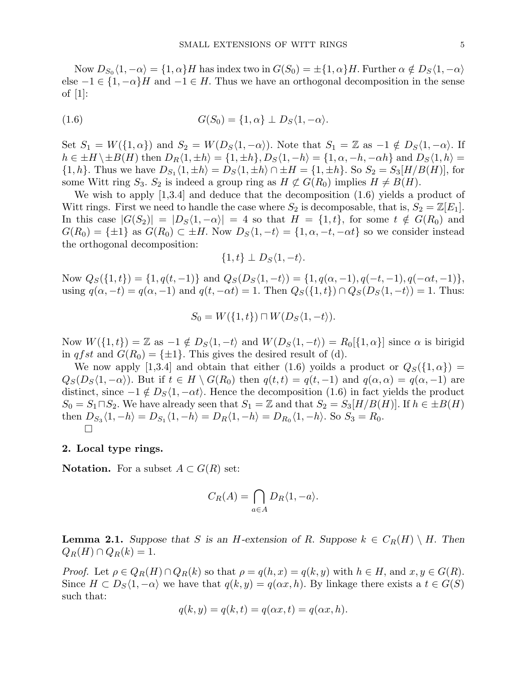Now  $D_{S_0}\langle 1,-\alpha\rangle=\{1,\alpha\}H$  has index two in  $G(S_0)=\pm\{1,\alpha\}H$ . Further  $\alpha\notin D_S\langle 1,-\alpha\rangle$ else  $-1 \in \{1, -\alpha\}$  and  $-1 \in H$ . Thus we have an orthogonal decomposition in the sense of [1]:

(1.6) 
$$
G(S_0) = \{1, \alpha\} \perp D_S \langle 1, -\alpha \rangle.
$$

Set  $S_1 = W(\{1, \alpha\})$  and  $S_2 = W(D_S\langle 1, -\alpha \rangle)$ . Note that  $S_1 = \mathbb{Z}$  as  $-1 \notin D_S\langle 1, -\alpha \rangle$ . If  $h \in \pm H \setminus \pm B(H)$  then  $D_R\langle 1, \pm h \rangle = \{1, \pm h\}, D_S\langle 1, -h \rangle = \{1, \alpha, -h, -\alpha h\}$  and  $D_S\langle 1, h \rangle =$  $\{1,h\}.$  Thus we have  $D_{S_1}\langle 1,\pm h\rangle = D_S\langle 1,\pm h\rangle \cap \pm H = \{1,\pm h\}.$  So  $S_2 = S_3[H/B(H)]$ , for some Witt ring  $S_3$ .  $S_2$  is indeed a group ring as  $H \not\subset G(R_0)$  implies  $H \neq B(H)$ .

We wish to apply [1,3.4] and deduce that the decomposition (1.6) yields a product of Witt rings. First we need to handle the case where  $S_2$  is decomposable, that is,  $S_2 = \mathbb{Z}[E_1]$ . In this case  $|G(S_2)| = |D_S(1, -\alpha)| = 4$  so that  $H = \{1, t\}$ , for some  $t \notin G(R_0)$  and  $G(R_0) = {\pm 1}$  as  $G(R_0) \subset \pm H$ . Now  $D_S\langle 1, -t \rangle = \{1, \alpha, -t, -\alpha t\}$  so we consider instead the orthogonal decomposition:

$$
\{1,t\} \perp D_S\langle 1,-t\rangle.
$$

Now  $Q_S({1,t}) = {1, q(t, -1)}$  and  $Q_S(D_S\langle 1, -t \rangle) = {1, q(\alpha, -1), q(-t, -1), q(-\alpha t, -1)},$ using  $q(\alpha, -t) = q(\alpha, -1)$  and  $q(t, -\alpha t) = 1$ . Then  $Q_S({1, t}) \cap Q_S(D_S\langle 1, -t \rangle) = 1$ . Thus:

$$
S_0 = W(\{1, t\}) \sqcap W(D_S\langle 1, -t \rangle).
$$

Now  $W({1, t}) = \mathbb{Z}$  as  $-1 \notin D_S\langle 1, -t \rangle$  and  $W(D_S\langle 1, -t \rangle) = R_0[{1, \alpha}]$  since  $\alpha$  is birigid in qfst and  $G(R_0) = {\pm 1}$ . This gives the desired result of (d).

We now apply [1,3.4] and obtain that either (1.6) yoilds a product or  $Q_S({1,\alpha})$  =  $Q_S(D_S\langle 1, -\alpha \rangle)$ . But if  $t \in H \setminus G(R_0)$  then  $q(t,t) = q(t,-1)$  and  $q(\alpha, \alpha) = q(\alpha, -1)$  are distinct, since  $-1 \notin D_S\langle 1, -\alpha t \rangle$ . Hence the decomposition (1.6) in fact yields the product  $S_0 = S_1 \sqcap S_2$ . We have already seen that  $S_1 = \mathbb{Z}$  and that  $S_2 = S_3[H/B(H)]$ . If  $h \in \pm B(H)$ then  $D_{S_3}\langle 1, -h \rangle = D_{S_1}\langle 1, -h \rangle = D_R\langle 1, -h \rangle = D_{R_0}\langle 1, -h \rangle$ . So  $S_3 = R_0$ . ¤

#### 2. Local type rings.

**Notation.** For a subset  $A \subset G(R)$  set:

$$
C_R(A) = \bigcap_{a \in A} D_R \langle 1, -a \rangle.
$$

**Lemma 2.1.** Suppose that S is an H-extension of R. Suppose  $k \in C_R(H) \setminus H$ . Then  $Q_R(H) \cap Q_R(k) = 1.$ 

*Proof.* Let  $\rho \in Q_R(H) \cap Q_R(k)$  so that  $\rho = q(h, x) = q(k, y)$  with  $h \in H$ , and  $x, y \in G(R)$ . Since  $H \subset D_S\langle 1, -\alpha \rangle$  we have that  $q(k, y) = q(\alpha x, h)$ . By linkage there exists a  $t \in G(S)$ such that:

$$
q(k, y) = q(k, t) = q(\alpha x, t) = q(\alpha x, h).
$$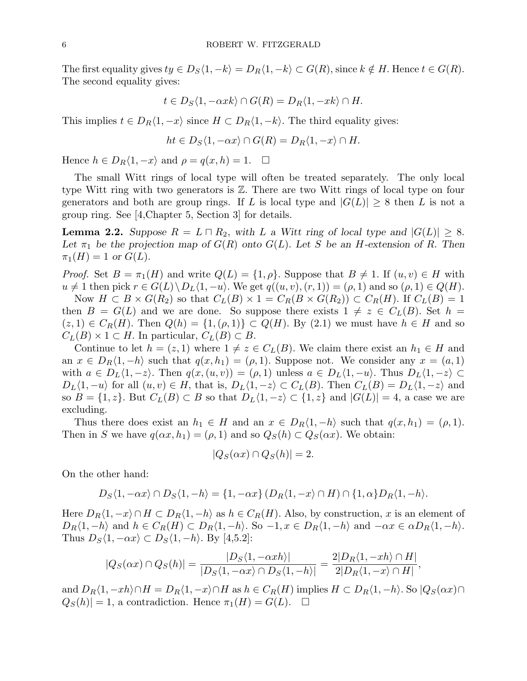The first equality gives  $ty \in D_S\langle 1, -k \rangle = D_R\langle 1, -k \rangle \subset G(R)$ , since  $k \notin H$ . Hence  $t \in G(R)$ . The second equality gives:

$$
t \in D_S \langle 1, -\alpha x k \rangle \cap G(R) = D_R \langle 1, -x k \rangle \cap H.
$$

This implies  $t \in D_R\langle 1, -x \rangle$  since  $H \subset D_R\langle 1, -k \rangle$ . The third equality gives:

$$
ht \in D_S\langle 1, -\alpha x \rangle \cap G(R) = D_R\langle 1, -x \rangle \cap H.
$$

Hence  $h \in D_R\langle 1, -x \rangle$  and  $\rho = q(x, h) = 1$ .  $\Box$ 

The small Witt rings of local type will often be treated separately. The only local type Witt ring with two generators is Z. There are two Witt rings of local type on four generators and both are group rings. If L is local type and  $|G(L)| \geq 8$  then L is not a group ring. See [4,Chapter 5, Section 3] for details.

**Lemma 2.2.** Suppose  $R = L \square R_2$ , with L a Witt ring of local type and  $|G(L)| \geq 8$ . Let  $\pi_1$  be the projection map of  $G(R)$  onto  $G(L)$ . Let S be an H-extension of R. Then  $\pi_1(H) = 1$  or  $G(L)$ .

*Proof.* Set  $B = \pi_1(H)$  and write  $Q(L) = \{1, \rho\}$ . Suppose that  $B \neq 1$ . If  $(u, v) \in H$  with  $u \neq 1$  then pick  $r \in G(L) \backslash D_L\langle 1, -u \rangle$ . We get  $q((u, v), (r, 1)) = (\rho, 1)$  and so  $(\rho, 1) \in Q(H)$ . Now  $H \subset B \times G(R_2)$  so that  $C_L(B) \times 1 = C_R(B \times G(R_2)) \subset C_R(H)$ . If  $C_L(B) = 1$ 

then  $B = G(L)$  and we are done. So suppose there exists  $1 \neq z \in C<sub>L</sub>(B)$ . Set  $h =$  $(z, 1) \in C_R(H)$ . Then  $Q(h) = \{1, (\rho, 1)\} \subset Q(H)$ . By  $(2.1)$  we must have  $h \in H$  and so  $C_L(B) \times 1 \subset H$ . In particular,  $C_L(B) \subset B$ .

Continue to let  $h = (z, 1)$  where  $1 \neq z \in C<sub>L</sub>(B)$ . We claim there exist an  $h_1 \in H$  and an  $x \in D_R\langle 1, -h \rangle$  such that  $q(x, h_1) = (\rho, 1)$ . Suppose not. We consider any  $x = (a, 1)$ with  $a \in D_L\langle 1, -z \rangle$ . Then  $q(x, (u, v)) = (\rho, 1)$  unless  $a \in D_L\langle 1, -u \rangle$ . Thus  $D_L\langle 1, -z \rangle \subset$  $D_L\langle 1, -u \rangle$  for all  $(u, v) \in H$ , that is,  $D_L\langle 1, -z \rangle \subset C_L(B)$ . Then  $C_L(B) = D_L\langle 1, -z \rangle$  and so  $B = \{1, z\}$ . But  $C_L(B) \subset B$  so that  $D_L\langle 1, -z \rangle \subset \{1, z\}$  and  $|G(L)| = 4$ , a case we are excluding.

Thus there does exist an  $h_1 \in H$  and an  $x \in D_R\langle 1, -h \rangle$  such that  $q(x, h_1) = (\rho, 1)$ . Then in S we have  $q(\alpha x, h_1) = (\rho, 1)$  and so  $Q_S(h) \subset Q_S(\alpha x)$ . We obtain:

$$
|Q_S(\alpha x) \cap Q_S(h)| = 2.
$$

On the other hand:

$$
D_S\langle 1, -\alpha x \rangle \cap D_S\langle 1, -h \rangle = \{1, -\alpha x\} (D_R\langle 1, -x \rangle \cap H) \cap \{1, \alpha\} D_R\langle 1, -h \rangle.
$$

Here  $D_R\langle 1, -x \rangle \cap H \subset D_R\langle 1, -h \rangle$  as  $h \in C_R(H)$ . Also, by construction, x is an element of  $D_R\langle 1, -h \rangle$  and  $h \in C_R(H) \subset D_R\langle 1, -h \rangle$ . So  $-1, x \in D_R\langle 1, -h \rangle$  and  $-\alpha x \in \alpha D_R\langle 1, -h \rangle$ . Thus  $D_S\langle 1, -\alpha x \rangle \subset D_S\langle 1, -h \rangle$ . By [4,5.2]:

$$
|Q_S(\alpha x) \cap Q_S(h)| = \frac{|D_S\langle 1, -\alpha xh \rangle|}{|D_S\langle 1, -\alpha x \rangle \cap D_S\langle 1, -h \rangle|} = \frac{2|D_R\langle 1, -xh \rangle \cap H|}{2|D_R\langle 1, -x \rangle \cap H|},
$$

and  $D_R\langle 1, -xh\rangle \cap H = D_R\langle 1, -x\rangle \cap H$  as  $h \in C_R(H)$  implies  $H \subset D_R\langle 1, -h\rangle$ . So  $|Q_S(\alpha x) \cap H|$  $Q_S(h) = 1$ , a contradiction. Hence  $\pi_1(H) = G(L)$ .  $\Box$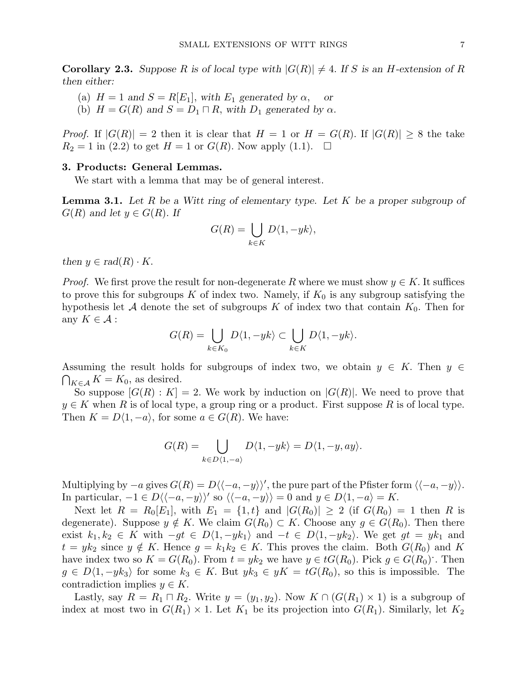**Corollary 2.3.** Suppose R is of local type with  $|G(R)| \neq 4$ . If S is an H-extension of R then either:

- (a)  $H = 1$  and  $S = R[E_1]$ , with  $E_1$  generated by  $\alpha$ , or
- (b)  $H = G(R)$  and  $S = D_1 \sqcap R$ , with  $D_1$  generated by  $\alpha$ .

*Proof.* If  $|G(R)| = 2$  then it is clear that  $H = 1$  or  $H = G(R)$ . If  $|G(R)| \geq 8$  the take  $R_2 = 1$  in (2.2) to get  $H = 1$  or  $G(R)$ . Now apply (1.1).  $\Box$ 

#### 3. Products: General Lemmas.

We start with a lemma that may be of general interest.

**Lemma 3.1.** Let R be a Witt ring of elementary type. Let K be a proper subgroup of  $G(R)$  and let  $y \in G(R)$ . If

$$
G(R) = \bigcup_{k \in K} D\langle 1, -yk \rangle,
$$

then  $y \in rad(R) \cdot K$ .

*Proof.* We first prove the result for non-degenerate R where we must show  $y \in K$ . It suffices to prove this for subgroups K of index two. Namely, if  $K_0$  is any subgroup satisfying the hypothesis let A denote the set of subgroups K of index two that contain  $K_0$ . Then for any  $K \in \mathcal{A}$ :

$$
G(R) = \bigcup_{k \in K_0} D\langle 1, -yk \rangle \subset \bigcup_{k \in K} D\langle 1, -yk \rangle.
$$

Assuming the result holds for subgroups of index two, we obtain  $y \in K$ . Then  $y \in K$  $\bigcap_{K\in\mathcal{A}} K = K_0$ , as desired.

So suppose  $|G(R):K|=2$ . We work by induction on  $|G(R)|$ . We need to prove that  $y \in K$  when R is of local type, a group ring or a product. First suppose R is of local type. Then  $K = D\langle 1, -a \rangle$ , for some  $a \in G(R)$ . We have:

$$
G(R) = \bigcup_{k \in D\langle 1, -a \rangle} D\langle 1, -yk \rangle = D\langle 1, -y, ay \rangle.
$$

Multiplying by  $-a$  gives  $G(R) = D\langle \langle -a, -y \rangle \rangle'$ , the pure part of the Pfister form  $\langle \langle -a, -y \rangle \rangle$ . In particular,  $-1 \in D \langle -a, -y \rangle$ ' so  $\langle -a, -y \rangle = 0$  and  $y \in D \langle 1, -a \rangle = K$ .

Next let  $R = R_0[E_1]$ , with  $E_1 = \{1, t\}$  and  $|G(R_0)| \ge 2$  (if  $G(R_0) = 1$  then R is degenerate). Suppose  $y \notin K$ . We claim  $G(R_0) \subset K$ . Choose any  $g \in G(R_0)$ . Then there exist  $k_1, k_2 \in K$  with  $-gt \in D\langle 1, -yk_1 \rangle$  and  $-t \in D\langle 1, -yk_2 \rangle$ . We get  $gt = yk_1$  and  $t = yk_2$  since  $y \notin K$ . Hence  $g = k_1k_2 \in K$ . This proves the claim. Both  $G(R_0)$  and K have index two so  $K = G(R_0)$ . From  $t = yk_2$  we have  $y \in tG(R_0)$ . Pick  $g \in G(R_0)$ . Then  $g \in D\langle 1, -yk_3 \rangle$  for some  $k_3 \in K$ . But  $yk_3 \in yK = tG(R_0)$ , so this is impossible. The contradiction implies  $y \in K$ .

Lastly, say  $R = R_1 \sqcap R_2$ . Write  $y = (y_1, y_2)$ . Now  $K \cap (G(R_1) \times 1)$  is a subgroup of index at most two in  $G(R_1) \times 1$ . Let  $K_1$  be its projection into  $G(R_1)$ . Similarly, let  $K_2$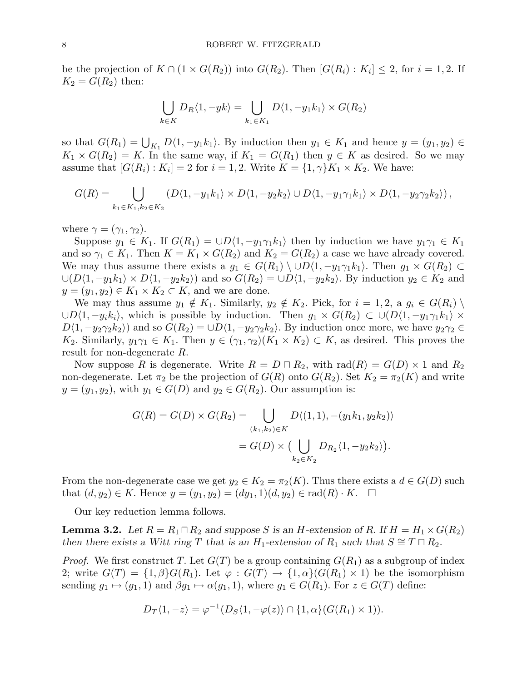be the projection of  $K \cap (1 \times G(R_2))$  into  $G(R_2)$ . Then  $[G(R_i) : K_i] \leq 2$ , for  $i = 1, 2$ . If  $K_2 = G(R_2)$  then:

$$
\bigcup_{k \in K} D_R \langle 1, -yk \rangle = \bigcup_{k_1 \in K_1} D \langle 1, -y_1 k_1 \rangle \times G(R_2)
$$

so that  $G(R_1) = \bigcup_{K_1} D\langle 1, -y_1k_1 \rangle$ . By induction then  $y_1 \in K_1$  and hence  $y = (y_1, y_2) \in$  $K_1 \times G(R_2) = K$ . In the same way, if  $K_1 = G(R_1)$  then  $y \in K$  as desired. So we may assume that  $[G(R_i): K_i] = 2$  for  $i = 1, 2$ . Write  $K = \{1, \gamma\}K_1 \times K_2$ . We have:

$$
G(R) = \bigcup_{k_1 \in K_1, k_2 \in K_2} \left( D\langle 1, -y_1 k_1 \rangle \times D\langle 1, -y_2 k_2 \rangle \cup D\langle 1, -y_1 \gamma_1 k_1 \rangle \times D\langle 1, -y_2 \gamma_2 k_2 \rangle \right),
$$

where  $\gamma = (\gamma_1, \gamma_2)$ .

Suppose  $y_1 \in K_1$ . If  $G(R_1) = \cup D\langle 1, -y_1\gamma_1k_1\rangle$  then by induction we have  $y_1\gamma_1 \in K_1$ and so  $\gamma_1 \in K_1$ . Then  $K = K_1 \times G(R_2)$  and  $K_2 = G(R_2)$  a case we have already covered. We may thus assume there exists a  $g_1 \in G(R_1) \setminus \cup D\langle 1, -y_1 \gamma_1 k_1 \rangle$ . Then  $g_1 \times G(R_2) \subset$  $\cup (D\langle 1, -y_1k_1\rangle \times D\langle 1, -y_2k_2\rangle)$  and so  $G(R_2) = \cup D\langle 1, -y_2k_2\rangle$ . By induction  $y_2 \in K_2$  and  $y = (y_1, y_2) \in K_1 \times K_2 \subset K$ , and we are done.

We may thus assume  $y_1 \notin K_1$ . Similarly,  $y_2 \notin K_2$ . Pick, for  $i = 1, 2, a \ g_i \in G(R_i) \setminus$  $\cup D\langle 1, -y_ik_i \rangle$ , which is possible by induction. Then  $g_1 \times G(R_2) \subset \cup (D\langle 1, -y_1\gamma_1k_1 \rangle \times$  $D\langle 1, -y_2\gamma_2k_2\rangle$  and so  $G(R_2) = \cup D\langle 1, -y_2\gamma_2k_2\rangle$ . By induction once more, we have  $y_2\gamma_2 \in$ K<sub>2</sub>. Similarly,  $y_1\gamma_1 \in K_1$ . Then  $y \in (\gamma_1, \gamma_2)(K_1 \times K_2) \subset K$ , as desired. This proves the result for non-degenerate R.

Now suppose R is degenerate. Write  $R = D \square R_2$ , with  $rad(R) = G(D) \times 1$  and  $R_2$ non-degenerate. Let  $\pi_2$  be the projection of  $G(R)$  onto  $G(R_2)$ . Set  $K_2 = \pi_2(K)$  and write  $y = (y_1, y_2)$ , with  $y_1 \in G(D)$  and  $y_2 \in G(R_2)$ . Our assumption is:

$$
G(R) = G(D) \times G(R_2) = \bigcup_{(k_1, k_2) \in K} D \langle (1, 1), -(y_1 k_1, y_2 k_2) \rangle
$$
  
=  $G(D) \times (\bigcup_{k_2 \in K_2} D_{R_2} \langle 1, -y_2 k_2 \rangle).$ 

From the non-degenerate case we get  $y_2 \in K_2 = \pi_2(K)$ . Thus there exists a  $d \in G(D)$  such that  $(d, y_2) \in K$ . Hence  $y = (y_1, y_2) = (dy_1, 1)(d, y_2) \in rad(R) \cdot K$ .  $\Box$ 

Our key reduction lemma follows.

**Lemma 3.2.** Let  $R = R_1 \square R_2$  and suppose S is an H-extension of R. If  $H = H_1 \times G(R_2)$ then there exists a Witt ring T that is an H<sub>1</sub>-extension of R<sub>1</sub> such that  $S \cong T \cap R_2$ .

*Proof.* We first construct T. Let  $G(T)$  be a group containing  $G(R_1)$  as a subgroup of index 2; write  $G(T) = \{1, \beta\} G(R_1)$ . Let  $\varphi : G(T) \to \{1, \alpha\} (G(R_1) \times 1)$  be the isomorphism sending  $g_1 \mapsto (g_1, 1)$  and  $\beta g_1 \mapsto \alpha(g_1, 1)$ , where  $g_1 \in G(R_1)$ . For  $z \in G(T)$  define:

$$
D_T\langle 1, -z\rangle = \varphi^{-1}(D_S\langle 1, -\varphi(z)\rangle \cap \{1, \alpha\}(G(R_1) \times 1)).
$$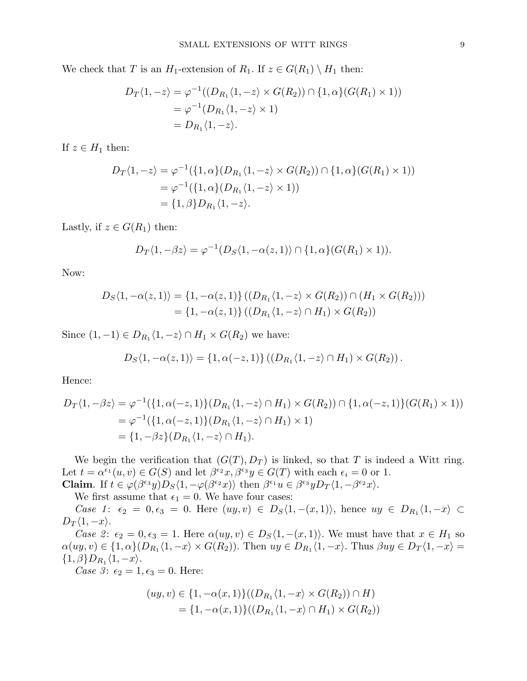We check that T is an  $H_1$ -extension of  $R_1$ . If  $z \in G(R_1) \setminus H_1$  then:

$$
D_T\langle 1, -z \rangle = \varphi^{-1}((D_{R_1}\langle 1, -z \rangle \times G(R_2)) \cap \{1, \alpha\}(G(R_1) \times 1))
$$
  
=  $\varphi^{-1}(D_{R_1}\langle 1, -z \rangle \times 1)$   
=  $D_{R_1}\langle 1, -z \rangle$ .

If  $z \in H_1$  then:

$$
D_T \langle 1, -z \rangle = \varphi^{-1} (\{1, \alpha\} (D_{R_1} \langle 1, -z \rangle \times G(R_2)) \cap \{1, \alpha\} (G(R_1) \times 1))
$$
  
=  $\varphi^{-1} (\{1, \alpha\} (D_{R_1} \langle 1, -z \rangle \times 1))$   
=  $\{1, \beta\} D_{R_1} \langle 1, -z \rangle$ .

Lastly, if  $z \in G(R_1)$  then:

$$
D_T\langle 1, -\beta z \rangle = \varphi^{-1}(D_S\langle 1, -\alpha(z, 1) \rangle \cap \{1, \alpha\}(G(R_1) \times 1)).
$$

Now:

$$
D_S\langle 1, -\alpha(z, 1) \rangle = \{1, -\alpha(z, 1)\} \left( (D_{R_1} \langle 1, -z \rangle \times G(R_2)) \cap (H_1 \times G(R_2)) \right)
$$
  
=  $\{1, -\alpha(z, 1)\} \left( (D_{R_1} \langle 1, -z \rangle \cap H_1) \times G(R_2) \right)$ 

Since  $(1,-1) \in D_{R_1} \langle 1, -z \rangle \cap H_1 \times G(R_2)$  we have:

$$
D_S\langle 1, -\alpha(z,1)\rangle = \{1, \alpha(-z,1)\} \left( \left(D_{R_1}\langle 1, -z\rangle \cap H_1\right) \times G(R_2)\right).
$$

Hence:

$$
D_T\langle 1, -\beta z \rangle = \varphi^{-1}(\{1, \alpha(-z, 1)\}(D_{R_1}\langle 1, -z \rangle \cap H_1) \times G(R_2)) \cap \{1, \alpha(-z, 1)\}(G(R_1) \times 1))
$$
  
=  $\varphi^{-1}(\{1, \alpha(-z, 1)\}(D_{R_1}\langle 1, -z \rangle \cap H_1) \times 1)$   
=  $\{1, -\beta z\}(D_{R_1}\langle 1, -z \rangle \cap H_1).$ 

We begin the verification that  $(G(T), D_T)$  is linked, so that T is indeed a Witt ring. Let  $t = \alpha^{\epsilon_1}(u, v) \in G(S)$  and let  $\beta^{\epsilon_2}x, \beta^{\epsilon_3}y \in G(T)$  with each  $\epsilon_i = 0$  or 1. **Claim.** If  $t \in \varphi(\beta^{\epsilon_3}y)D_S\langle 1, -\varphi(\beta^{\epsilon_2}x)\rangle$  then  $\beta^{\epsilon_1}u \in \beta^{\epsilon_3}yD_T\langle 1, -\beta^{\epsilon_2}x\rangle$ .

We first assume that  $\epsilon_1 = 0$ . We have four cases:

Case 1:  $\epsilon_2 = 0, \epsilon_3 = 0$ . Here  $(uy, v) \in D_S\langle 1, -(x, 1) \rangle$ , hence  $uy \in D_{R_1}\langle 1, -x \rangle \subset$  $D_T\langle 1, -x\rangle$ .

Case 2:  $\epsilon_2 = 0, \epsilon_3 = 1$ . Here  $\alpha(uy, v) \in D_S\langle 1, -(x, 1) \rangle$ . We must have that  $x \in H_1$  so  $\alpha(uy, v) \in \{1, \alpha\}(D_{R_1}\langle 1, -x \rangle \times G(R_2))$ . Then  $uy \in D_{R_1}\langle 1, -x \rangle$ . Thus  $\beta uy \in D_T\langle 1, -x \rangle =$  $\{1,\beta\}D_{R_1}\langle 1,-x\rangle.$ 

Case 3:  $\epsilon_2 = 1, \epsilon_3 = 0$ . Here:

$$
(uy, v) \in \{1, -\alpha(x, 1)\}((D_{R_1}\langle 1, -x \rangle \times G(R_2)) \cap H)
$$
  
=  $\{1, -\alpha(x, 1)\}((D_{R_1}\langle 1, -x \rangle \cap H_1) \times G(R_2))$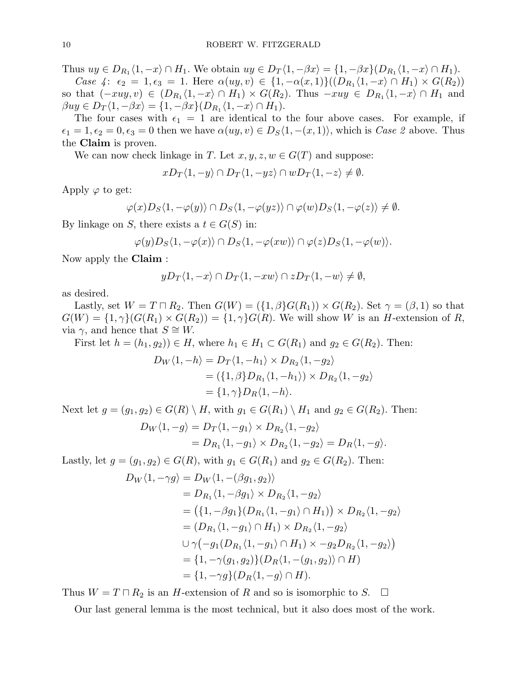Thus  $uy \in D_{R_1} \langle 1, -x \rangle \cap H_1$ . We obtain  $uy \in D_T \langle 1, -\beta x \rangle = \{1, -\beta x\} (D_{R_1} \langle 1, -x \rangle \cap H_1)$ .

Case 4:  $\epsilon_2 = 1, \epsilon_3 = 1$ . Here  $\alpha(uy, v) \in \{1, -\alpha(x, 1)\}((D_{R_1}\langle 1, -x \rangle \cap H_1) \times G(R_2))$ so that  $(-xuy, v) \in (D_{R_1}\langle 1, -x \rangle \cap H_1) \times G(R_2)$ . Thus  $-xuy \in D_{R_1}\langle 1, -x \rangle \cap H_1$  and  $\beta uy \in D_T \langle 1, -\beta x \rangle = \{1, -\beta x\} (D_{R_1} \langle 1, -x \rangle \cap H_1).$ 

The four cases with  $\epsilon_1 = 1$  are identical to the four above cases. For example, if  $\epsilon_1 = 1, \epsilon_2 = 0, \epsilon_3 = 0$  then we have  $\alpha(uy, v) \in D_S\langle 1, -(x, 1) \rangle$ , which is Case 2 above. Thus the Claim is proven.

We can now check linkage in T. Let  $x, y, z, w \in G(T)$  and suppose:

$$
xD_T\langle 1,-y\rangle \cap D_T\langle 1,-yz\rangle \cap wD_T\langle 1,-z\rangle \neq \emptyset.
$$

Apply  $\varphi$  to get:

$$
\varphi(x)D_S\langle 1, -\varphi(y)\rangle \cap D_S\langle 1, -\varphi(yz)\rangle \cap \varphi(w)D_S\langle 1, -\varphi(z)\rangle \neq \emptyset.
$$

By linkage on S, there exists a  $t \in G(S)$  in:

$$
\varphi(y)D_S\langle 1,-\varphi(x)\rangle\cap D_S\langle 1,-\varphi(xw)\rangle\cap \varphi(z)D_S\langle 1,-\varphi(w)\rangle.
$$

Now apply the Claim :

$$
yD_T\langle 1, -x \rangle \cap D_T\langle 1, -xw \rangle \cap zD_T\langle 1, -w \rangle \neq \emptyset,
$$

as desired.

Lastly, set  $W = T \sqcap R_2$ . Then  $G(W) = (\{1, \beta\}G(R_1)) \times G(R_2)$ . Set  $\gamma = (\beta, 1)$  so that  $G(W) = \{1, \gamma\}(G(R_1) \times G(R_2)) = \{1, \gamma\}G(R)$ . We will show W is an H-extension of R, via  $\gamma$ , and hence that  $S \cong W$ .

First let  $h = (h_1, g_2) \in H$ , where  $h_1 \in H_1 \subset G(R_1)$  and  $g_2 \in G(R_2)$ . Then:

$$
D_W\langle 1, -h \rangle = D_T\langle 1, -h_1 \rangle \times D_{R_2}\langle 1, -g_2 \rangle
$$
  
= (\{1, \beta\}D\_{R\_1}\langle 1, -h\_1 \rangle) \times D\_{R\_2}\langle 1, -g\_2 \rangle  
= \{1, \gamma\}D\_R\langle 1, -h \rangle.

Next let  $g = (g_1, g_2) \in G(R) \setminus H$ , with  $g_1 \in G(R_1) \setminus H_1$  and  $g_2 \in G(R_2)$ . Then:

$$
D_W\langle 1, -g \rangle = D_T\langle 1, -g_1 \rangle \times D_{R_2}\langle 1, -g_2 \rangle
$$
  
= 
$$
D_{R_1}\langle 1, -g_1 \rangle \times D_{R_2}\langle 1, -g_2 \rangle = D_R\langle 1, -g \rangle.
$$

Lastly, let  $g = (g_1, g_2) \in G(R)$ , with  $g_1 \in G(R_1)$  and  $g_2 \in G(R_2)$ . Then:

$$
D_W\langle 1, -\gamma g \rangle = D_W\langle 1, -(\beta g_1, g_2) \rangle
$$
  
\n
$$
= D_{R_1}\langle 1, -\beta g_1 \rangle \times D_{R_2}\langle 1, -g_2 \rangle
$$
  
\n
$$
= (\{1, -\beta g_1\}(D_{R_1}\langle 1, -g_1 \rangle \cap H_1)) \times D_{R_2}\langle 1, -g_2 \rangle
$$
  
\n
$$
= (D_{R_1}\langle 1, -g_1 \rangle \cap H_1) \times D_{R_2}\langle 1, -g_2 \rangle
$$
  
\n
$$
\cup \gamma(-g_1(D_{R_1}\langle 1, -g_1 \rangle \cap H_1) \times -g_2D_{R_2}\langle 1, -g_2 \rangle)
$$
  
\n
$$
= \{1, -\gamma(g_1, g_2)\}(D_R\langle 1, -(g_1, g_2) \rangle \cap H)
$$
  
\n
$$
= \{1, -\gamma g\}(D_R\langle 1, -g \rangle \cap H).
$$

Thus  $W = T \sqcap R_2$  is an H-extension of R and so is isomorphic to S.  $\Box$ 

Our last general lemma is the most technical, but it also does most of the work.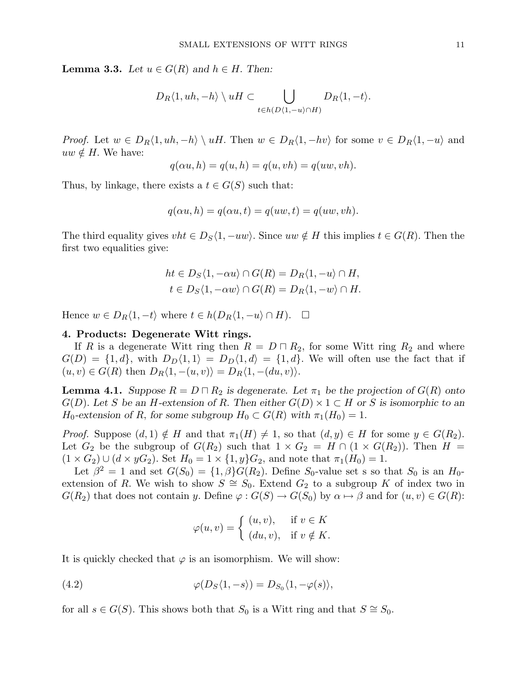**Lemma 3.3.** Let  $u \in G(R)$  and  $h \in H$ . Then:

$$
D_R\langle 1, uh, -h \rangle \setminus uH \subset \bigcup_{t \in h(D\langle 1, -u \rangle \cap H)} D_R\langle 1, -t \rangle.
$$

*Proof.* Let  $w \in D_R\langle 1, uh, -h \rangle \setminus uH$ . Then  $w \in D_R\langle 1, -hv \rangle$  for some  $v \in D_R\langle 1, -u \rangle$  and  $uw \notin H$ . We have:

$$
q(\alpha u, h) = q(u, h) = q(u, vh) = q(uw, vh).
$$

Thus, by linkage, there exists a  $t \in G(S)$  such that:

$$
q(\alpha u, h) = q(\alpha u, t) = q(uw, t) = q(uw, vh).
$$

The third equality gives  $vht \in D_S\langle 1, -uw \rangle$ . Since  $uw \notin H$  this implies  $t \in G(R)$ . Then the first two equalities give:

$$
ht \in D_S \langle 1, -\alpha u \rangle \cap G(R) = D_R \langle 1, -u \rangle \cap H,
$$
  

$$
t \in D_S \langle 1, -\alpha w \rangle \cap G(R) = D_R \langle 1, -w \rangle \cap H.
$$

Hence  $w \in D_R\langle 1, -t \rangle$  where  $t \in h(D_R\langle 1, -u \rangle \cap H)$ .  $\Box$ 

#### 4. Products: Degenerate Witt rings.

If R is a degenerate Witt ring then  $R = D \square R_2$ , for some Witt ring  $R_2$  and where  $G(D) = \{1, d\}$ , with  $D_D\langle 1, 1 \rangle = D_D\langle 1, d \rangle = \{1, d\}$ . We will often use the fact that if  $(u, v) \in G(R)$  then  $D_R\langle 1, -(u, v) \rangle = D_R\langle 1, -(du, v) \rangle$ .

**Lemma 4.1.** Suppose  $R = D \cap R_2$  is degenerate. Let  $\pi_1$  be the projection of  $G(R)$  onto  $G(D)$ . Let S be an H-extension of R. Then either  $G(D) \times 1 \subset H$  or S is isomorphic to an  $H_0$ -extension of R, for some subgroup  $H_0 \subset G(R)$  with  $\pi_1(H_0) = 1$ .

*Proof.* Suppose  $(d, 1) \notin H$  and that  $\pi_1(H) \neq 1$ , so that  $(d, y) \in H$  for some  $y \in G(R_2)$ . Let  $G_2$  be the subgroup of  $G(R_2)$  such that  $1 \times G_2 = H \cap (1 \times G(R_2))$ . Then  $H =$  $(1 \times G_2) \cup (d \times yG_2)$ . Set  $H_0 = 1 \times \{1, y\}G_2$ , and note that  $\pi_1(H_0) = 1$ .

Let  $\beta^2 = 1$  and set  $G(S_0) = \{1, \beta\}G(R_2)$ . Define  $S_0$ -value set s so that  $S_0$  is an  $H_0$ extension of R. We wish to show  $S \cong S_0$ . Extend  $G_2$  to a subgroup K of index two in  $G(R_2)$  that does not contain y. Define  $\varphi: G(S) \to G(S_0)$  by  $\alpha \mapsto \beta$  and for  $(u, v) \in G(R)$ :

$$
\varphi(u,v) = \begin{cases} (u,v), & \text{if } v \in K \\ (du,v), & \text{if } v \notin K. \end{cases}
$$

It is quickly checked that  $\varphi$  is an isomorphism. We will show:

(4.2) 
$$
\varphi(D_S\langle 1, -s \rangle) = D_{S_0}\langle 1, -\varphi(s) \rangle,
$$

for all  $s \in G(S)$ . This shows both that  $S_0$  is a Witt ring and that  $S \cong S_0$ .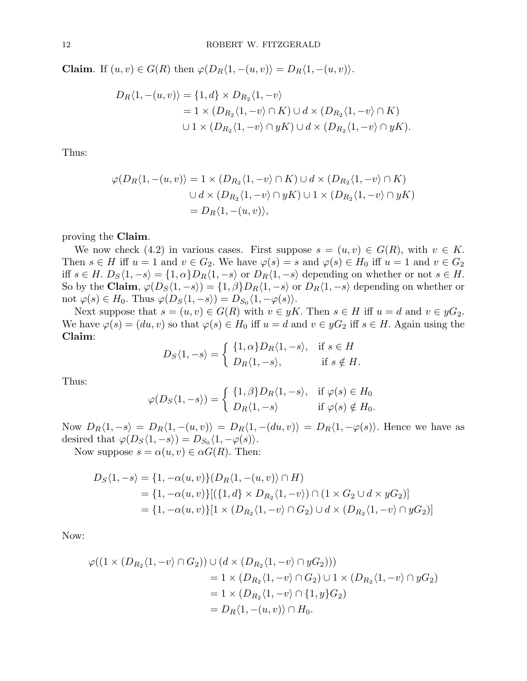Claim. If  $(u, v) \in G(R)$  then  $\varphi(D_R\langle 1, -(u, v) \rangle = D_R\langle 1, -(u, v) \rangle$ .

$$
D_R\langle 1, -(u,v) \rangle = \{1, d\} \times D_{R_2}\langle 1, -v \rangle
$$
  
= 1 \times (D\_{R\_2}\langle 1, -v \rangle \cap K) \cup d \times (D\_{R\_2}\langle 1, -v \rangle \cap K)  

$$
\cup 1 \times (D_{R_2}\langle 1, -v \rangle \cap yK) \cup d \times (D_{R_2}\langle 1, -v \rangle \cap yK).
$$

Thus:

$$
\varphi(D_R\langle 1, -(u, v) \rangle) = 1 \times (D_{R_2}\langle 1, -v \rangle \cap K) \cup d \times (D_{R_2}\langle 1, -v \rangle \cap K)
$$
  

$$
\cup d \times (D_{R_2}\langle 1, -v \rangle \cap yK) \cup 1 \times (D_{R_2}\langle 1, -v \rangle \cap yK)
$$
  

$$
= D_R\langle 1, -(u, v) \rangle,
$$

proving the Claim.

We now check (4.2) in various cases. First suppose  $s = (u, v) \in G(R)$ , with  $v \in K$ . Then  $s \in H$  iff  $u = 1$  and  $v \in G_2$ . We have  $\varphi(s) = s$  and  $\varphi(s) \in H_0$  iff  $u = 1$  and  $v \in G_2$ iff  $s \in H$ .  $D_S\langle 1, -s \rangle = \{1, \alpha\}D_R\langle 1, -s \rangle$  or  $D_R\langle 1, -s \rangle$  depending on whether or not  $s \in H$ . So by the Claim,  $\varphi(D_S\langle 1,-s\rangle) = \{1,\beta\}D_R\langle 1,-s\rangle$  or  $D_R\langle 1,-s\rangle$  depending on whether or not  $\varphi(s) \in H_0$ . Thus  $\varphi(D_S\langle 1, -s \rangle) = D_{S_0}\langle 1, -\varphi(s) \rangle$ .

Next suppose that  $s = (u, v) \in G(R)$  with  $v \in yK$ . Then  $s \in H$  iff  $u = d$  and  $v \in yG_2$ . We have  $\varphi(s) = (du, v)$  so that  $\varphi(s) \in H_0$  iff  $u = d$  and  $v \in yG_2$  iff  $s \in H$ . Again using the Claim: ½

$$
D_S\langle 1, -s \rangle = \begin{cases} \{1, \alpha\} D_R \langle 1, -s \rangle, & \text{if } s \in H \\ D_R \langle 1, -s \rangle, & \text{if } s \notin H. \end{cases}
$$

Thus:

$$
\varphi(D_S\langle 1,-s\rangle) = \begin{cases} \{1,\beta\}D_R\langle 1,-s\rangle, & \text{if } \varphi(s) \in H_0 \\ D_R\langle 1,-s\rangle & \text{if } \varphi(s) \notin H_0. \end{cases}
$$

Now  $D_R\langle 1, -s \rangle = D_R\langle 1, -(u, v) \rangle = D_R\langle 1, -(du, v) \rangle = D_R\langle 1, -\varphi(s) \rangle$ . Hence we have as desired that  $\varphi(D_S\langle 1,-s\rangle) = D_{S_0}\langle 1,-\varphi(s)\rangle$ .

Now suppose  $s = \alpha(u, v) \in \alpha G(R)$ . Then:

$$
D_S\langle 1, -s \rangle = \{1, -\alpha(u, v)\}(D_R\langle 1, -(u, v) \rangle \cap H)
$$
  
=  $\{1, -\alpha(u, v)\}[(\{1, d\} \times D_{R_2}\langle 1, -v \rangle) \cap (1 \times G_2 \cup d \times yG_2)]$   
=  $\{1, -\alpha(u, v)\}[1 \times (D_{R_2}\langle 1, -v \rangle \cap G_2) \cup d \times (D_{R_2}\langle 1, -v \rangle \cap yG_2)]$ 

Now:

$$
\varphi((1 \times (D_{R_2}\langle 1, -v \rangle \cap G_2)) \cup (d \times (D_{R_2}\langle 1, -v \rangle \cap yG_2)))
$$
  
= 1 \times (D\_{R\_2}\langle 1, -v \rangle \cap G\_2) \cup 1 \times (D\_{R\_2}\langle 1, -v \rangle \cap yG\_2)  
= 1 \times (D\_{R\_2}\langle 1, -v \rangle \cap \{1, y\}G\_2)  
= D\_R\langle 1, -(u, v) \rangle \cap H\_0.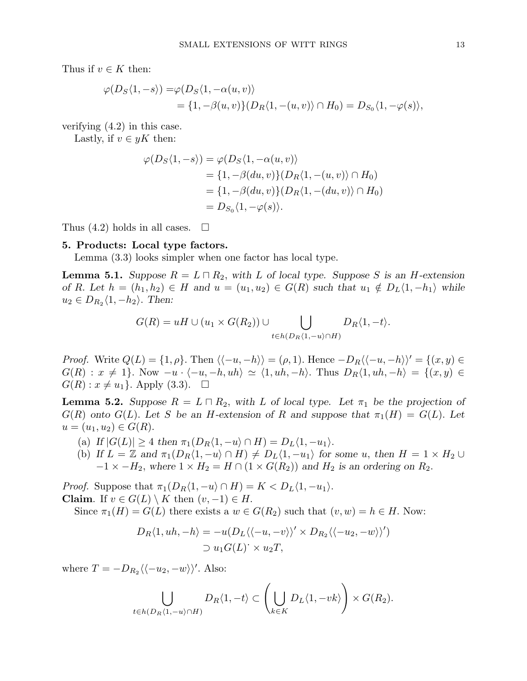Thus if  $v \in K$  then:

$$
\varphi(D_S\langle 1, -s \rangle) = \varphi(D_S\langle 1, -\alpha(u, v) \rangle
$$
  
=  $\{1, -\beta(u, v)\}(D_R\langle 1, -(u, v) \rangle \cap H_0) = D_{S_0}\langle 1, -\varphi(s) \rangle$ ,

verifying (4.2) in this case.

Lastly, if  $v \in yK$  then:

$$
\varphi(D_S\langle 1, -s \rangle) = \varphi(D_S\langle 1, -\alpha(u, v) \rangle)
$$
  
=  $\{1, -\beta(du, v)\}(D_R\langle 1, -(u, v) \rangle \cap H_0)$   
=  $\{1, -\beta(du, v)\}(D_R\langle 1, -(du, v) \rangle \cap H_0)$   
=  $D_{S_0}\langle 1, -\varphi(s) \rangle$ .

Thus  $(4.2)$  holds in all cases.  $\Box$ 

#### 5. Products: Local type factors.

Lemma (3.3) looks simpler when one factor has local type.

**Lemma 5.1.** Suppose  $R = L \square R_2$ , with L of local type. Suppose S is an H-extension of R. Let  $h = (h_1, h_2) \in H$  and  $u = (u_1, u_2) \in G(R)$  such that  $u_1 \notin D_L\langle 1, -h_1 \rangle$  while  $u_2 \in D_{R_2}\langle 1, -h_2 \rangle$ . Then:

$$
G(R) = uH \cup (u_1 \times G(R_2)) \cup \bigcup_{t \in h(D_R\langle 1, -u \rangle \cap H)} D_R\langle 1, -t \rangle.
$$

*Proof.* Write  $Q(L) = \{1, \rho\}$ . Then  $\langle \langle -u, -h \rangle \rangle = (\rho, 1)$ . Hence  $-D_R \langle \langle -u, -h \rangle \rangle' = \{(x, y) \in$  $G(R) : x \neq 1$ . Now  $-u \cdot \langle -u, -h, uh \rangle \simeq \langle 1, uh, -h \rangle$ . Thus  $D_R\langle 1, uh, -h \rangle = \{ (x, y) \in$  $G(R): x \neq u_1$ . Apply (3.3).  $\Box$ 

**Lemma 5.2.** Suppose  $R = L \square R_2$ , with L of local type. Let  $\pi_1$  be the projection of  $G(R)$  onto  $G(L)$ . Let S be an H-extension of R and suppose that  $\pi_1(H) = G(L)$ . Let  $u = (u_1, u_2) \in G(R).$ 

- (a) If  $|G(L)| \geq 4$  then  $\pi_1(D_R\langle 1, -u \rangle \cap H) = D_L\langle 1, -u_1 \rangle$ .
- (b) If  $L = \mathbb{Z}$  and  $\pi_1(D_R\langle 1, -u \rangle \cap H) \neq D_L\langle 1, -u_1 \rangle$  for some u, then  $H = 1 \times H_2 \cup$  $-1 \times -H_2$ , where  $1 \times H_2 = H \cap (1 \times G(R_2))$  and  $H_2$  is an ordering on  $R_2$ .

*Proof.* Suppose that  $\pi_1(D_R\langle 1, -u \rangle \cap H) = K \langle D_L\langle 1, -u_1 \rangle$ . **Claim.** If  $v \in G(L) \setminus K$  then  $(v, -1) \in H$ .

Since  $\pi_1(H) = G(L)$  there exists a  $w \in G(R_2)$  such that  $(v, w) = h \in H$ . Now:

$$
D_R\langle 1, uh, -h \rangle = -u(D_L\langle \langle -u, -v \rangle \rangle' \times D_{R_2}\langle \langle -u_2, -w \rangle \rangle')
$$
  

$$
\supset u_1 G(L)^{\cdot} \times u_2 T,
$$

where  $T = -D_{R_2}\langle\langle -u_2, -w \rangle\rangle'$ . Also:

$$
\bigcup_{t\in h(D_R\langle 1,-u\rangle\cap H)}D_R\langle 1,-t\rangle\subset \left(\bigcup_{k\in K}D_L\langle 1,-vk\rangle\right)\times G(R_2).
$$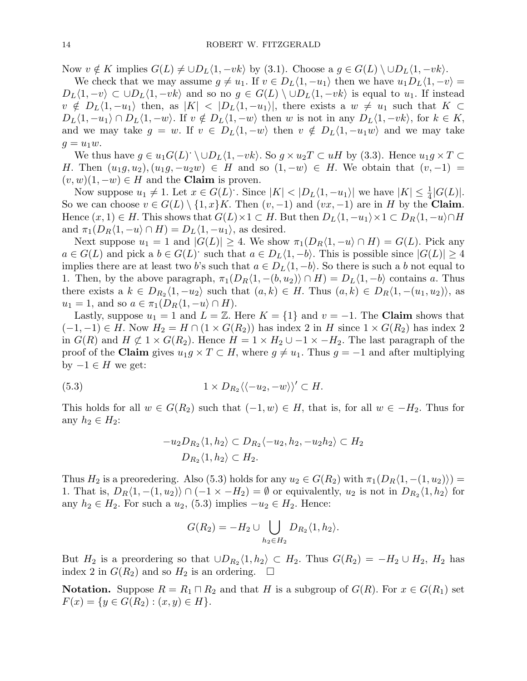Now  $v \notin K$  implies  $G(L) \neq \cup D_L\langle 1, -vk \rangle$  by (3.1). Choose a  $g \in G(L) \setminus \cup D_L\langle 1, -vk \rangle$ .

We check that we may assume  $g \neq u_1$ . If  $v \in D_L\langle 1, -u_1 \rangle$  then we have  $u_1D_L\langle 1, -v \rangle =$  $D_L\langle 1, -v\rangle \subset \cup D_L\langle 1, -vk\rangle$  and so no  $g \in G(L) \setminus \cup D_L\langle 1, -vk\rangle$  is equal to  $u_1$ . If instead  $v \notin D_L\langle 1, -u_1\rangle$  then, as  $|K| < |D_L\langle 1, -u_1\rangle|$ , there exists a  $w \neq u_1$  such that  $K \subset$  $D_L\langle 1, -u_1\rangle \cap D_L\langle 1, -w\rangle$ . If  $v \notin D_L\langle 1, -w\rangle$  then w is not in any  $D_L\langle 1, -vk\rangle$ , for  $k \in K$ , and we may take  $g = w$ . If  $v \in D_L\langle 1, -w \rangle$  then  $v \notin D_L\langle 1, -u_1w \rangle$  and we may take  $g = u_1w$ .

We thus have  $g \in u_1 G(L) \setminus \cup D_L \langle 1, -vk \rangle$ . So  $g \times u_2 T \subset uH$  by (3.3). Hence  $u_1 g \times T \subset$ H. Then  $(u_1g, u_2), (u_1g, -u_2w) \in H$  and so  $(1, -w) \in H$ . We obtain that  $(v, -1) =$  $(v, w)(1, -w) \in H$  and the **Claim** is proven.

Now suppose  $u_1 \neq 1$ . Let  $x \in G(L)$ . Since  $|K| < |D_L\langle 1, -u_1\rangle|$  we have  $|K| \leq \frac{1}{4}|G(L)|$ . So we can choose  $v \in G(L) \setminus \{1, x\}$ . Then  $(v, -1)$  and  $(vx, -1)$  are in H by the Claim. Hence  $(x, 1) \in H$ . This shows that  $G(L) \times 1 \subset H$ . But then  $D_L\langle 1, -u_1 \rangle \times 1 \subset D_R\langle 1, -u \rangle \cap H$ and  $\pi_1(D_R\langle 1,-u\rangle \cap H) = D_L\langle 1,-u_1\rangle$ , as desired.

Next suppose  $u_1 = 1$  and  $|G(L)| \geq 4$ . We show  $\pi_1(D_R\langle 1, -u \rangle \cap H) = G(L)$ . Pick any  $a \in G(L)$  and pick a  $b \in G(L)$  such that  $a \in D_L\langle 1, -b \rangle$ . This is possible since  $|G(L)| \geq 4$ implies there are at least two b's such that  $a \in D_L\langle 1, -b \rangle$ . So there is such a b not equal to 1. Then, by the above paragraph,  $\pi_1(D_R\langle 1, -(b, u_2) \rangle \cap H) = D_L\langle 1, -b \rangle$  contains a. Thus there exists a  $k \in D_{R_2}\langle 1, -u_2 \rangle$  such that  $(a, k) \in H$ . Thus  $(a, k) \in D_R\langle 1, -(u_1, u_2) \rangle$ , as  $u_1 = 1$ , and so  $a \in \pi_1(D_R\langle 1, -u \rangle \cap H)$ .

Lastly, suppose  $u_1 = 1$  and  $L = \mathbb{Z}$ . Here  $K = \{1\}$  and  $v = -1$ . The Claim shows that  $(-1,-1) \in H$ . Now  $H_2 = H \cap (1 \times G(R_2))$  has index 2 in H since  $1 \times G(R_2)$  has index 2 in  $G(R)$  and  $H \not\subset 1 \times G(R_2)$ . Hence  $H = 1 \times H_2 \cup -1 \times -H_2$ . The last paragraph of the proof of the Claim gives  $u_1g \times T \subset H$ , where  $g \neq u_1$ . Thus  $g = -1$  and after multiplying by  $-1 \in H$  we get:

(5.3) 
$$
1 \times D_{R_2} \langle \langle -u_2, -w \rangle \rangle' \subset H.
$$

This holds for all  $w \in G(R_2)$  such that  $(-1, w) \in H$ , that is, for all  $w \in -H_2$ . Thus for any  $h_2 \in H_2$ :

$$
-u_2D_{R_2}\langle 1, h_2 \rangle \subset D_{R_2}\langle -u_2, h_2, -u_2h_2 \rangle \subset H_2
$$
  

$$
D_{R_2}\langle 1, h_2 \rangle \subset H_2.
$$

Thus  $H_2$  is a preoredering. Also (5.3) holds for any  $u_2 \in G(R_2)$  with  $\pi_1(D_R\langle 1, -(1, u_2) \rangle)$  = 1. That is,  $D_R\langle 1, -(1, u_2) \rangle \cap (-1 \times -H_2) = \emptyset$  or equivalently,  $u_2$  is not in  $D_{R_2}\langle 1, h_2 \rangle$  for any  $h_2 \in H_2$ . For such a  $u_2$ , (5.3) implies  $-u_2 \in H_2$ . Hence:

$$
G(R_2) = -H_2 \cup \bigcup_{h_2 \in H_2} D_{R_2} \langle 1, h_2 \rangle.
$$

But  $H_2$  is a preordering so that  $\cup D_{R_2}\langle 1, h_2\rangle \subset H_2$ . Thus  $G(R_2) = -H_2 \cup H_2$ ,  $H_2$  has index 2 in  $G(R_2)$  and so  $H_2$  is an ordering.  $\Box$ 

**Notation.** Suppose  $R = R_1 \cap R_2$  and that H is a subgroup of  $G(R)$ . For  $x \in G(R_1)$  set  $F(x) = \{y \in G(R_2) : (x, y) \in H\}.$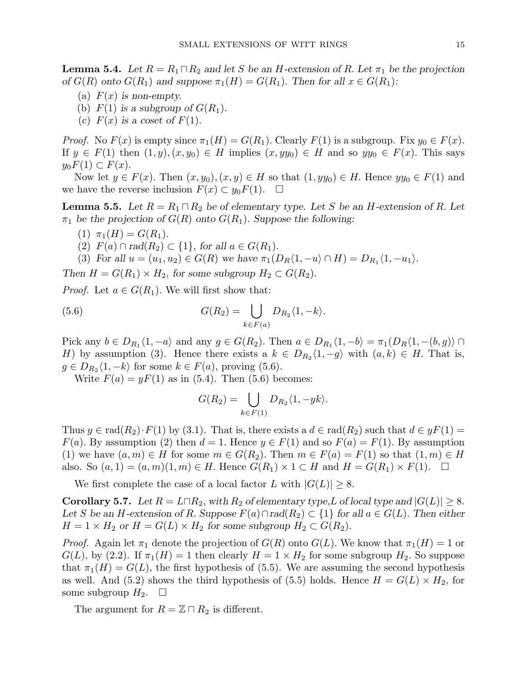**Lemma 5.4.** Let  $R = R_1 \square R_2$  and let S be an H-extension of R. Let  $\pi_1$  be the projection of  $G(R)$  onto  $G(R_1)$  and suppose  $\pi_1(H) = G(R_1)$ . Then for all  $x \in G(R_1)$ :

- (a)  $F(x)$  is non-empty.
- (b)  $F(1)$  is a subgroup of  $G(R_1)$ .
- (c)  $F(x)$  is a coset of  $F(1)$ .

*Proof.* No  $F(x)$  is empty since  $\pi_1(H) = G(R_1)$ . Clearly  $F(1)$  is a subgroup. Fix  $y_0 \in F(x)$ . If  $y \in F(1)$  then  $(1, y), (x, y_0) \in H$  implies  $(x, yy_0) \in H$  and so  $yy_0 \in F(x)$ . This says  $y_0F(1) \subset F(x)$ .

Now let  $y \in F(x)$ . Then  $(x, y_0), (x, y) \in H$  so that  $(1, yy_0) \in H$ . Hence  $yy_0 \in F(1)$  and we have the reverse inclusion  $F(x) \subset y_0F(1)$ .  $\Box$ 

**Lemma 5.5.** Let  $R = R_1 \square R_2$  be of elementary type. Let S be an H-extension of R. Let  $\pi_1$  be the projection of  $G(R)$  onto  $G(R_1)$ . Suppose the following:

- (1)  $\pi_1(H) = G(R_1)$ .
- (2)  $F(a) \cap rad(R_2) \subset \{1\}$ , for all  $a \in G(R_1)$ .
- (3) For all  $u = (u_1, u_2) \in G(R)$  we have  $\pi_1(D_R \langle 1, -u \rangle \cap H) = D_{R_1} \langle 1, -u_1 \rangle$ .

Then  $H = G(R_1) \times H_2$ , for some subgroup  $H_2 \subset G(R_2)$ .

*Proof.* Let  $a \in G(R_1)$ . We will first show that:

(5.6) 
$$
G(R_2) = \bigcup_{k \in F(a)} D_{R_2} \langle 1, -k \rangle.
$$

Pick any  $b \in D_{R_1} \langle 1, -a \rangle$  and any  $g \in G(R_2)$ . Then  $a \in D_{R_1} \langle 1, -b \rangle = \pi_1(D_R \langle 1, -(b,g) \rangle \cap I$ H) by assumption (3). Hence there exists a  $k \in D_{R_2}\langle 1, -g \rangle$  with  $(a, k) \in H$ . That is,  $g \in D_{R_2}\langle 1, -k \rangle$  for some  $k \in F(a)$ , proving (5.6).

Write  $F(a) = yF(1)$  as in (5.4). Then (5.6) becomes:

$$
G(R_2) = \bigcup_{k \in F(1)} D_{R_2} \langle 1, -yk \rangle.
$$

Thus  $y \in rad(R_2) \cdot F(1)$  by (3.1). That is, there exists a  $d \in rad(R_2)$  such that  $d \in yF(1)$  $F(a)$ . By assumption (2) then  $d = 1$ . Hence  $y \in F(1)$  and so  $F(a) = F(1)$ . By assumption (1) we have  $(a, m) \in H$  for some  $m \in G(R_2)$ . Then  $m \in F(a) = F(1)$  so that  $(1, m) \in H$ also. So  $(a, 1) = (a, m)(1, m) \in H$ . Hence  $G(R_1) \times 1 \subset H$  and  $H = G(R_1) \times F(1)$ .  $\Box$ 

We first complete the case of a local factor L with  $|G(L)| \geq 8$ .

**Corollary 5.7.** Let  $R = L \square R_2$ , with  $R_2$  of elementary type, L of local type and  $|G(L)| \geq 8$ . Let S be an H-extension of R. Suppose  $F(a) \cap rad(R_2) \subset \{1\}$  for all  $a \in G(L)$ . Then either  $H = 1 \times H_2$  or  $H = G(L) \times H_2$  for some subgroup  $H_2 \subset G(R_2)$ .

*Proof.* Again let  $\pi_1$  denote the projection of  $G(R)$  onto  $G(L)$ . We know that  $\pi_1(H) = 1$  or  $G(L)$ , by (2.2). If  $\pi_1(H) = 1$  then clearly  $H = 1 \times H_2$  for some subgroup  $H_2$ . So suppose that  $\pi_1(H) = G(L)$ , the first hypothesis of (5.5). We are assuming the second hypothesis as well. And (5.2) shows the third hypothesis of (5.5) holds. Hence  $H = G(L) \times H_2$ , for some subgroup  $H_2$ .  $\Box$ 

The argument for  $R = \mathbb{Z} \cap R_2$  is different.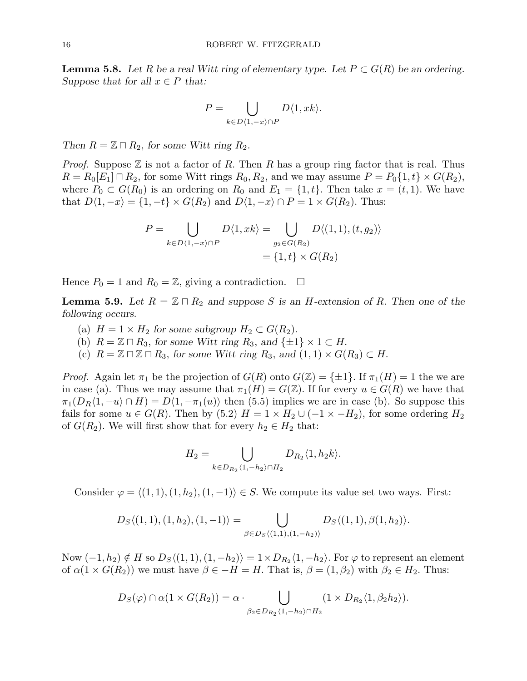**Lemma 5.8.** Let R be a real Witt ring of elementary type. Let  $P \subset G(R)$  be an ordering. Suppose that for all  $x \in P$  that:

$$
P = \bigcup_{k \in D\langle 1, -x \rangle \cap P} D\langle 1, xk \rangle.
$$

Then  $R = \mathbb{Z} \cap R_2$ , for some Witt ring  $R_2$ .

*Proof.* Suppose  $\mathbb Z$  is not a factor of R. Then R has a group ring factor that is real. Thus  $R = R_0[E_1] \sqcap R_2$ , for some Witt rings  $R_0, R_2$ , and we may assume  $P = P_0\{1, t\} \times G(R_2)$ , where  $P_0 \subset G(R_0)$  is an ordering on  $R_0$  and  $E_1 = \{1, t\}$ . Then take  $x = (t, 1)$ . We have that  $D\langle 1, -x \rangle = \{1, -t\} \times G(R_2)$  and  $D\langle 1, -x \rangle \cap P = 1 \times G(R_2)$ . Thus:

$$
P = \bigcup_{k \in D\langle 1, -x \rangle \cap P} D\langle 1, xk \rangle = \bigcup_{g_2 \in G(R_2)} D\langle (1, 1), (t, g_2) \rangle
$$

$$
= \{1, t\} \times G(R_2)
$$

Hence  $P_0 = 1$  and  $R_0 = \mathbb{Z}$ , giving a contradiction.  $\Box$ 

**Lemma 5.9.** Let  $R = \mathbb{Z} \cap R_2$  and suppose S is an H-extension of R. Then one of the following occurs.

- (a)  $H = 1 \times H_2$  for some subgroup  $H_2 \subset G(R_2)$ .
- (b)  $R = \mathbb{Z} \cap R_3$ , for some Witt ring  $R_3$ , and  $\{\pm 1\} \times 1 \subset H$ .
- (c)  $R = \mathbb{Z} \sqcap \mathbb{Z} \sqcap R_3$ , for some Witt ring  $R_3$ , and  $(1, 1) \times G(R_3) \subset H$ .

*Proof.* Again let  $\pi_1$  be the projection of  $G(R)$  onto  $G(\mathbb{Z}) = \{\pm 1\}$ . If  $\pi_1(H) = 1$  the we are in case (a). Thus we may assume that  $\pi_1(H) = G(\mathbb{Z})$ . If for every  $u \in G(R)$  we have that  $\pi_1(D_R\langle 1,-u\rangle \cap H) = D\langle 1,-\pi_1(u)\rangle$  then (5.5) implies we are in case (b). So suppose this fails for some  $u \in G(R)$ . Then by  $(5.2)$   $H = 1 \times H_2 \cup (-1 \times -H_2)$ , for some ordering  $H_2$ of  $G(R_2)$ . We will first show that for every  $h_2 \in H_2$  that:

$$
H_2 = \bigcup_{k \in D_{R_2} \langle 1, -h_2 \rangle \cap H_2} D_{R_2} \langle 1, h_2 k \rangle.
$$

Consider  $\varphi = \langle (1, 1), (1, h_2), (1, -1) \rangle \in S$ . We compute its value set two ways. First:

$$
D_S\langle (1,1), (1,h_2), (1,-1) \rangle = \bigcup_{\beta \in D_S\langle (1,1), (1,-h_2) \rangle} D_S\langle (1,1), \beta(1,h_2) \rangle.
$$

Now  $(-1,h_2) \notin H$  so  $D_S \langle (1,1), (1,-h_2) \rangle = 1 \times D_{R_2} \langle 1,-h_2 \rangle$ . For  $\varphi$  to represent an element of  $\alpha(1 \times G(R_2))$  we must have  $\beta \in -H = H$ . That is,  $\beta = (1, \beta_2)$  with  $\beta_2 \in H_2$ . Thus:

$$
D_S(\varphi) \cap \alpha(1 \times G(R_2)) = \alpha \cdot \bigcup_{\beta_2 \in D_{R_2} \langle 1, -h_2 \rangle \cap H_2} (1 \times D_{R_2} \langle 1, \beta_2 h_2 \rangle).
$$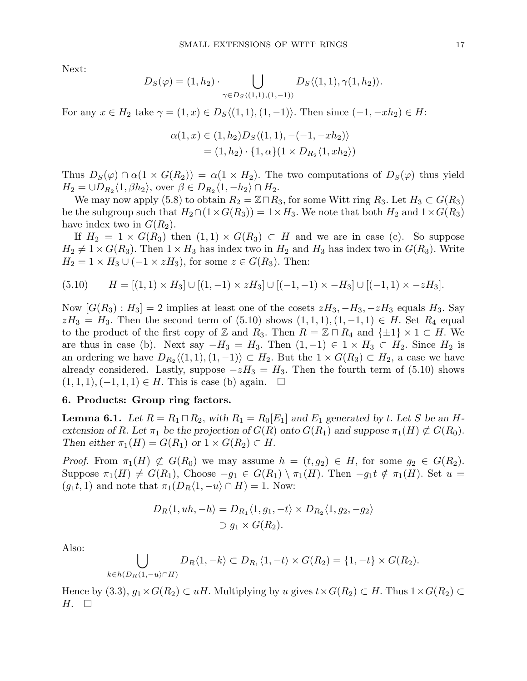Next:

$$
D_S(\varphi) = (1, h_2) \cdot \bigcup_{\gamma \in D_S \langle (1,1), (1,-1) \rangle} D_S \langle (1,1), \gamma(1, h_2) \rangle.
$$

For any  $x \in H_2$  take  $\gamma = (1, x) \in D_S \langle (1, 1), (1, -1) \rangle$ . Then since  $(-1, -xh_2) \in H$ :

$$
\alpha(1, x) \in (1, h_2)D_S \langle (1, 1), -(-1, -xh_2) \rangle
$$
  
= (1, h\_2) \cdot \{1, \alpha\}(1 \times D\_{R\_2} \langle 1, xh\_2 \rangle)

Thus  $D_S(\varphi) \cap \alpha(1 \times G(R_2)) = \alpha(1 \times H_2)$ . The two computations of  $D_S(\varphi)$  thus yield  $H_2 = \bigcup D_{R_2} \langle 1, \beta h_2 \rangle$ , over  $\beta \in D_{R_2} \langle 1, -h_2 \rangle \cap H_2$ .

We may now apply (5.8) to obtain  $R_2 = \mathbb{Z} \cap R_3$ , for some Witt ring  $R_3$ . Let  $H_3 \subset G(R_3)$ be the subgroup such that  $H_2 \cap (1 \times G(R_3)) = 1 \times H_3$ . We note that both  $H_2$  and  $1 \times G(R_3)$ have index two in  $G(R_2)$ .

If  $H_2 = 1 \times G(R_3)$  then  $(1,1) \times G(R_3) \subset H$  and we are in case (c). So suppose  $H_2 \neq 1 \times G(R_3)$ . Then  $1 \times H_3$  has index two in  $H_2$  and  $H_3$  has index two in  $G(R_3)$ . Write  $H_2 = 1 \times H_3 \cup (-1 \times zH_3)$ , for some  $z \in G(R_3)$ . Then:

$$
(5.10) \qquad H = [(1,1) \times H_3] \cup [(1,-1) \times zH_3] \cup [(-1,-1) \times -H_3] \cup [(-1,1) \times -zH_3].
$$

Now  $[G(R_3): H_3] = 2$  implies at least one of the cosets  $zH_3, -H_3, -zH_3$  equals  $H_3$ . Say  $zH_3 = H_3$ . Then the second term of (5.10) shows  $(1,1,1), (1,-1,1) \in H$ . Set  $R_4$  equal to the product of the first copy of Z and R<sub>3</sub>. Then  $R = \mathbb{Z} \cap R_4$  and  $\{\pm 1\} \times 1 \subset H$ . We are thus in case (b). Next say  $-H_3 = H_3$ . Then  $(1, -1) \in 1 \times H_3 \subset H_2$ . Since  $H_2$  is an ordering we have  $D_{R_2}\langle (1,1), (1,-1) \rangle \subset H_2$ . But the  $1 \times G(R_3) \subset H_2$ , a case we have already considered. Lastly, suppose  $-zH_3 = H_3$ . Then the fourth term of (5.10) shows  $(1, 1, 1), (-1, 1, 1) \in H$ . This is case (b) again.  $\square$ 

#### 6. Products: Group ring factors.

**Lemma 6.1.** Let  $R = R_1 \sqcap R_2$ , with  $R_1 = R_0[E_1]$  and  $E_1$  generated by t. Let S be an Hextension of R. Let  $\pi_1$  be the projection of  $G(R)$  onto  $G(R_1)$  and suppose  $\pi_1(H) \not\subset G(R_0)$ . Then either  $\pi_1(H) = G(R_1)$  or  $1 \times G(R_2) \subset H$ .

*Proof.* From  $\pi_1(H) \not\subset G(R_0)$  we may assume  $h = (t, g_2) \in H$ , for some  $g_2 \in G(R_2)$ . Suppose  $\pi_1(H) \neq G(R_1)$ , Choose  $-g_1 \in G(R_1) \setminus \pi_1(H)$ . Then  $-g_1t \notin \pi_1(H)$ . Set  $u =$  $(g_1t, 1)$  and note that  $\pi_1(D_R\langle 1, -u \rangle \cap H) = 1$ . Now:

$$
D_R\langle 1, uh, -h \rangle = D_{R_1}\langle 1, g_1, -t \rangle \times D_{R_2}\langle 1, g_2, -g_2 \rangle
$$
  

$$
\supset g_1 \times G(R_2).
$$

Also:

$$
\bigcup_{k\in h(D_R\langle 1,-u\rangle\cap H)} D_R\langle 1,-k\rangle \subset D_{R_1}\langle 1,-t\rangle \times G(R_2) = \{1,-t\} \times G(R_2).
$$

Hence by (3.3),  $g_1 \times G(R_2) \subset uH$ . Multiplying by u gives  $t \times G(R_2) \subset H$ . Thus  $1 \times G(R_2) \subset$  $H. \square$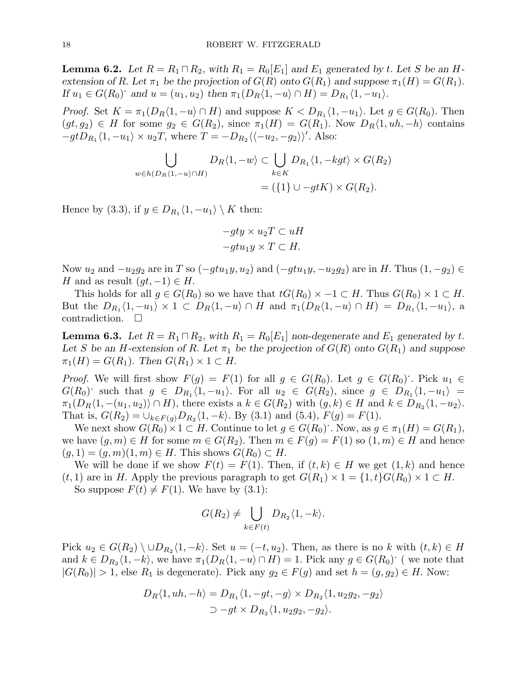**Lemma 6.2.** Let  $R = R_1 \square R_2$ , with  $R_1 = R_0[E_1]$  and  $E_1$  generated by t. Let S be an Hextension of R. Let  $\pi_1$  be the projection of  $G(R)$  onto  $G(R_1)$  and suppose  $\pi_1(H) = G(R_1)$ . If  $u_1 \in G(R_0)$  and  $u = (u_1, u_2)$  then  $\pi_1(D_R\langle 1, -u \rangle \cap H) = D_{R_1}\langle 1, -u_1 \rangle$ .

*Proof.* Set  $K = \pi_1(D_R\langle 1, -u \rangle \cap H)$  and suppose  $K < D_{R_1}\langle 1, -u_1 \rangle$ . Let  $g \in G(R_0)$ . Then  $(gt, g_2) \in H$  for some  $g_2 \in G(R_2)$ , since  $\pi_1(H) = G(R_1)$ . Now  $D_R\langle 1, uh, -h \rangle$  contains  $-gtD_{R_1}\langle 1, -u_1\rangle \times u_2T$ , where  $T = -D_{R_2}\langle \langle -u_2, -g_2\rangle \rangle'$ . Also:

$$
\bigcup_{w \in h(D_R\langle 1, -u \rangle \cap H)} D_R\langle 1, -w \rangle \subset \bigcup_{k \in K} D_{R_1}\langle 1, -kgt \rangle \times G(R_2)
$$
  
= (\{1\} \cup -gtK) \times G(R\_2).

Hence by (3.3), if  $y \in D_{R_1} \langle 1, -u_1 \rangle \setminus K$  then:

$$
-gty \times u_2T \subset uH
$$
  

$$
-gtu_1y \times T \subset H.
$$

Now  $u_2$  and  $-u_2g_2$  are in T so  $(-gtu_1y, u_2)$  and  $(-gtu_1y, -u_2g_2)$  are in H. Thus  $(1, -g_2) \in$ H and as result  $(gt, -1) \in H$ .

This holds for all  $g \in G(R_0)$  so we have that  $tG(R_0) \times -1 \subset H$ . Thus  $G(R_0) \times 1 \subset H$ . But the  $D_{R_1}\langle 1, -u_1\rangle \times 1 \subset D_R\langle 1, -u\rangle \cap H$  and  $\pi_1(D_R\langle 1, -u\rangle \cap H) = D_{R_1}\langle 1, -u_1\rangle$ , a contradiction.  $\Box$ 

**Lemma 6.3.** Let  $R = R_1 \square R_2$ , with  $R_1 = R_0[E_1]$  non-degenerate and  $E_1$  generated by t. Let S be an H-extension of R. Let  $\pi_1$  be the projection of  $G(R)$  onto  $G(R_1)$  and suppose  $\pi_1(H) = G(R_1)$ . Then  $G(R_1) \times 1 \subset H$ .

*Proof.* We will first show  $F(g) = F(1)$  for all  $g \in G(R_0)$ . Let  $g \in G(R_0)$ . Pick  $u_1 \in$  $G(R_0)$  such that  $g \in D_{R_1}\langle 1, -u_1 \rangle$ . For all  $u_2 \in G(R_2)$ , since  $g \in D_{R_1}\langle 1, -u_1 \rangle =$  $\pi_1(D_R\langle 1, -(u_1, u_2) \rangle \cap H)$ , there exists a  $k \in G(R_2)$  with  $(g, k) \in H$  and  $k \in D_{R_2}\langle 1, -u_2 \rangle$ . That is,  $G(R_2) = \bigcup_{k \in F(g)} D_{R_2}\langle 1, -k \rangle$ . By (3.1) and (5.4),  $F(g) = F(1)$ .

We next show  $G(R_0) \times 1 \subset H$ . Continue to let  $g \in G(R_0)$ . Now, as  $g \in \pi_1(H) = G(R_1)$ , we have  $(g, m) \in H$  for some  $m \in G(R_2)$ . Then  $m \in F(g) = F(1)$  so  $(1, m) \in H$  and hence  $(g, 1) = (g, m)(1, m) \in H$ . This shows  $G(R_0) \subset H$ .

We will be done if we show  $F(t) = F(1)$ . Then, if  $(t, k) \in H$  we get  $(1, k)$  and hence  $(t, 1)$  are in H. Apply the previous paragraph to get  $G(R_1) \times 1 = \{1, t\} G(R_0) \times 1 \subset H$ .

So suppose  $F(t) \neq F(1)$ . We have by (3.1):

$$
G(R_2) \neq \bigcup_{k \in F(t)} D_{R_2} \langle 1, -k \rangle.
$$

Pick  $u_2 \in G(R_2) \setminus \cup D_{R_2}\langle 1, -k \rangle$ . Set  $u = (-t, u_2)$ . Then, as there is no k with  $(t, k) \in H$ and  $k \in D_{R_2}\langle 1, -k \rangle$ , we have  $\pi_1(D_R\langle 1, -u \rangle \cap H) = 1$ . Pick any  $g \in G(R_0)$ . (we note that  $|G(R_0)| > 1$ , else  $R_1$  is degenerate). Pick any  $g_2 \in F(g)$  and set  $h = (g, g_2) \in H$ . Now:

$$
D_R\langle 1, uh, -h \rangle = D_{R_1}\langle 1, -gt, -g \rangle \times D_{R_2}\langle 1, u_2g_2, -g_2 \rangle
$$
  

$$
\supset -gt \times D_{R_2}\langle 1, u_2g_2, -g_2 \rangle.
$$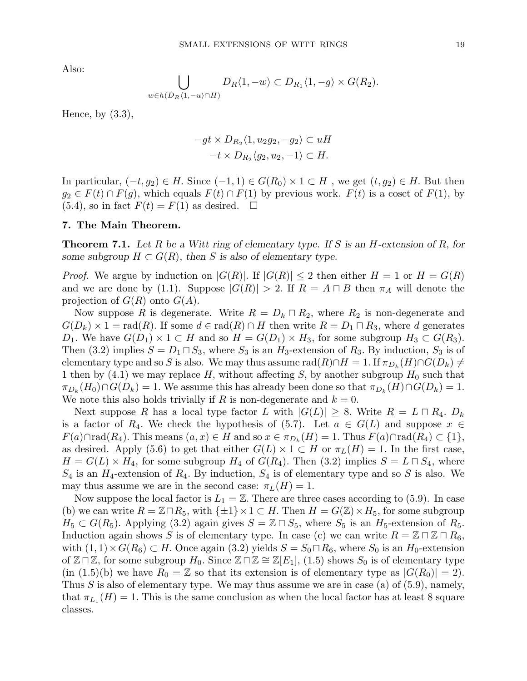Also:

$$
\bigcup_{w \in h(D_R\langle 1, -u \rangle \cap H)} D_R\langle 1, -w \rangle \subset D_{R_1}\langle 1, -g \rangle \times G(R_2).
$$

Hence, by  $(3.3)$ ,

$$
-gt \times D_{R_2}\langle 1, u_2g_2, -g_2 \rangle \subset uH
$$
  

$$
-t \times D_{R_2}\langle g_2, u_2, -1 \rangle \subset H.
$$

In particular,  $(-t, g_2) \in H$ . Since  $(-1, 1) \in G(R_0) \times 1 \subset H$ , we get  $(t, g_2) \in H$ . But then  $g_2 \in F(t) \cap F(g)$ , which equals  $F(t) \cap F(1)$  by previous work.  $F(t)$  is a coset of  $F(1)$ , by  $(5.4)$ , so in fact  $F(t) = F(1)$  as desired.  $\Box$ 

#### 7. The Main Theorem.

**Theorem 7.1.** Let R be a Witt ring of elementary type. If S is an H-extension of R, for some subgroup  $H \subset G(R)$ , then S is also of elementary type.

*Proof.* We argue by induction on  $|G(R)|$ . If  $|G(R)| \leq 2$  then either  $H = 1$  or  $H = G(R)$ and we are done by (1.1). Suppose  $|G(R)| > 2$ . If  $R = A \sqcap B$  then  $\pi_A$  will denote the projection of  $G(R)$  onto  $G(A)$ .

Now suppose R is degenerate. Write  $R = D_k \sqcap R_2$ , where  $R_2$  is non-degenerate and  $G(D_k) \times 1 = \text{rad}(R)$ . If some  $d \in \text{rad}(R) \cap H$  then write  $R = D_1 \cap R_3$ , where d generates D<sub>1</sub>. We have  $G(D_1) \times 1 \subset H$  and so  $H = G(D_1) \times H_3$ , for some subgroup  $H_3 \subset G(R_3)$ . Then (3.2) implies  $S = D_1 \square S_3$ , where  $S_3$  is an  $H_3$ -extension of  $R_3$ . By induction,  $S_3$  is of elementary type and so S is also. We may thus assume  $\mathrm{rad}(R) \cap H = 1$ . If  $\pi_{D_k}(H) \cap G(D_k) \neq 0$ 1 then by (4.1) we may replace H, without affecting S, by another subgroup  $H_0$  such that  $\pi_{D_k}(H_0) \cap G(D_k) = 1$ . We assume this has already been done so that  $\pi_{D_k}(H) \cap G(D_k) = 1$ . We note this also holds trivially if R is non-degenerate and  $k = 0$ .

Next suppose R has a local type factor L with  $|G(L)| \geq 8$ . Write  $R = L \square R_4$ .  $D_k$ is a factor of  $R_4$ . We check the hypothesis of (5.7). Let  $a \in G(L)$  and suppose  $x \in$  $F(a) \cap \text{rad}(R_4)$ . This means  $(a, x) \in H$  and so  $x \in \pi_{D_k}(H) = 1$ . Thus  $F(a) \cap \text{rad}(R_4) \subset \{1\}$ , as desired. Apply (5.6) to get that either  $G(L) \times 1 \subset H$  or  $\pi_L(H) = 1$ . In the first case,  $H = G(L) \times H_4$ , for some subgroup  $H_4$  of  $G(R_4)$ . Then (3.2) implies  $S = L \cap S_4$ , where  $S_4$  is an  $H_4$ -extension of  $R_4$ . By induction,  $S_4$  is of elementary type and so S is also. We may thus assume we are in the second case:  $\pi_L(H) = 1$ .

Now suppose the local factor is  $L_1 = \mathbb{Z}$ . There are three cases according to (5.9). In case (b) we can write  $R = \mathbb{Z} \cap R_5$ , with  $\{\pm 1\} \times 1 \subset H$ . Then  $H = G(\mathbb{Z}) \times H_5$ , for some subgroup  $H_5 \subset G(R_5)$ . Applying (3.2) again gives  $S = \mathbb{Z} \cap S_5$ , where  $S_5$  is an  $H_5$ -extension of  $R_5$ . Induction again shows S is of elementary type. In case (c) we can write  $R = \mathbb{Z} \sqcap \mathbb{Z} \sqcap R_6$ , with  $(1, 1) \times G(R_6) \subset H$ . Once again  $(3.2)$  yields  $S = S_0 \square R_6$ , where  $S_0$  is an  $H_0$ -extension of  $\mathbb{Z} \sqcap \mathbb{Z}$ , for some subgroup  $H_0$ . Since  $\mathbb{Z} \sqcap \mathbb{Z} \cong \mathbb{Z} |E_1|$ , (1.5) shows  $S_0$  is of elementary type (in  $(1.5)(b)$  we have  $R_0 = \mathbb{Z}$  so that its extension is of elementary type as  $|G(R_0)| = 2$ ). Thus S is also of elementary type. We may thus assume we are in case (a) of  $(5.9)$ , namely, that  $\pi_{L_1}(H) = 1$ . This is the same conclusion as when the local factor has at least 8 square classes.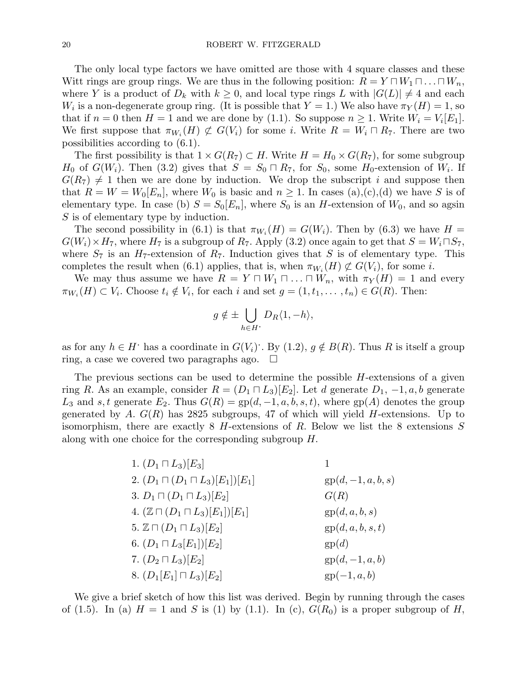The only local type factors we have omitted are those with 4 square classes and these Witt rings are group rings. We are thus in the following position:  $R = Y \sqcap W_1 \sqcap ... \sqcap W_n$ , where Y is a product of  $D_k$  with  $k \geq 0$ , and local type rings L with  $|G(L)| \neq 4$  and each  $W_i$  is a non-degenerate group ring. (It is possible that  $Y = 1$ .) We also have  $\pi_Y(H) = 1$ , so that if  $n = 0$  then  $H = 1$  and we are done by (1.1). So suppose  $n \geq 1$ . Write  $W_i = V_i[E_1]$ . We first suppose that  $\pi_{W_i}(H) \not\subset G(V_i)$  for some i. Write  $R = W_i \cap R_7$ . There are two possibilities according to (6.1).

The first possibility is that  $1 \times G(R_7) \subset H$ . Write  $H = H_0 \times G(R_7)$ , for some subgroup  $H_0$  of  $G(W_i)$ . Then (3.2) gives that  $S = S_0 \cap R_7$ , for  $S_0$ , some  $H_0$ -extension of  $W_i$ . If  $G(R_7) \neq 1$  then we are done by induction. We drop the subscript i and suppose then that  $R = W = W_0[E_n]$ , where  $W_0$  is basic and  $n \geq 1$ . In cases (a),(c),(d) we have S is of elementary type. In case (b)  $S = S_0[E_n]$ , where  $S_0$  is an H-extension of  $W_0$ , and so agsin S is of elementary type by induction.

The second possibility in (6.1) is that  $\pi_{W_i}(H) = G(W_i)$ . Then by (6.3) we have  $H =$  $G(W_i) \times H_7$ , where  $H_7$  is a subgroup of  $R_7$ . Apply (3.2) once again to get that  $S = W_i \cap S_7$ , where  $S_7$  is an  $H_7$ -extension of  $R_7$ . Induction gives that S is of elementary type. This completes the result when (6.1) applies, that is, when  $\pi_{W_i}(H) \not\subset G(V_i)$ , for some *i*.

We may thus assume we have  $R = Y \sqcap W_1 \sqcap \ldots \sqcap W_n$ , with  $\pi_Y(H) = 1$  and every  $\pi_{W_i}(H) \subset V_i$ . Choose  $t_i \notin V_i$ , for each i and set  $g = (1, t_1, \dots, t_n) \in G(R)$ . Then:

$$
g \notin \pm \bigcup_{h \in H^*} D_R \langle 1, -h \rangle,
$$

as for any  $h \in H$  has a coordinate in  $G(V_i)$ . By  $(1.2)$ ,  $g \notin B(R)$ . Thus R is itself a group ring, a case we covered two paragraphs ago.  $\Box$ 

The previous sections can be used to determine the possible  $H$ -extensions of a given ring R. As an example, consider  $R = (D_1 \sqcap L_3)[E_2]$ . Let d generate  $D_1, -1, a, b$  generate  $L_3$  and s, t generate  $E_2$ . Thus  $G(R) = gp(d, -1, a, b, s, t)$ , where  $gp(A)$  denotes the group generated by A.  $G(R)$  has 2825 subgroups, 47 of which will yield H-extensions. Up to isomorphism, there are exactly  $8$  H-extensions of R. Below we list the 8 extensions S along with one choice for the corresponding subgroup H.

| 1. $(D_1 \sqcap L_3)[E_3]$                      |                      |
|-------------------------------------------------|----------------------|
| 2. $(D_1 \sqcap (D_1 \sqcap L_3)[E_1])[E_1]$    | $gp(d, -1, a, b, s)$ |
| 3. $D_1 \sqcap (D_1 \sqcap L_3)[E_2]$           | G(R)                 |
| 4. $(\mathbb{Z} \cap (D_1 \cap L_3)[E_1])[E_1]$ | gp(d, a, b, s)       |
| 5. $\mathbb{Z} \cap (D_1 \cap L_3)[E_2]$        | gp(d, a, b, s, t)    |
| 6. $(D_1 \sqcap L_3[E_1])[E_2]$                 | gp(d)                |
| 7. $(D_2 \sqcap L_3)[E_2]$                      | $gp(d, -1, a, b)$    |
| 8. $(D_1[E_1] \sqcap L_3)[E_2]$                 | $gp(-1, a, b)$       |

We give a brief sketch of how this list was derived. Begin by running through the cases of (1.5). In (a)  $H = 1$  and S is (1) by (1.1). In (c),  $G(R_0)$  is a proper subgroup of H,